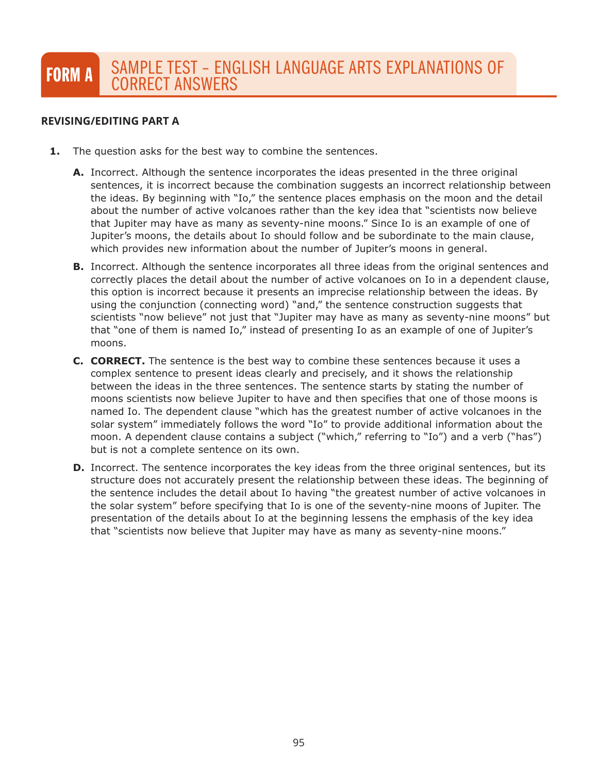## **REVISING/EDITING PART A REVISING/EDITING PART A**

- **1.** The question asks for the best way to combine the sentences.
	- **A.** Incorrect. Although the sentence incorporates the ideas presented in the three original sentences, it is incorrect because the combination suggests an incorrect relationship between the ideas. By beginning with "Io," the sentence places emphasis on the moon and the detail about the number of active volcanoes rather than the key idea that "scientists now believe that Jupiter may have as many as seventy-nine moons." Since Io is an example of one of Jupiter's moons, the details about Io should follow and be subordinate to the main clause, which provides new information about the number of Jupiter's moons in general.
	- **B.** Incorrect. Although the sentence incorporates all three ideas from the original sentences and correctly places the detail about the number of active volcanoes on Io in a dependent clause, this option is incorrect because it presents an imprecise relationship between the ideas. By using the conjunction (connecting word) "and," the sentence construction suggests that scientists "now believe" not just that "Jupiter may have as many as seventy-nine moons" but that "one of them is named Io," instead of presenting Io as an example of one of Jupiter's moons.
	- **C. CORRECT.** The sentence is the best way to combine these sentences because it uses a complex sentence to present ideas clearly and precisely, and it shows the relationship between the ideas in the three sentences. The sentence starts by stating the number of moons scientists now believe Jupiter to have and then specifies that one of those moons is named Io. The dependent clause "which has the greatest number of active volcanoes in the solar system" immediately follows the word "Io" to provide additional information about the moon. A dependent clause contains a subject ("which," referring to "Io") and a verb ("has") but is not a complete sentence on its own.
	- **D.** Incorrect. The sentence incorporates the key ideas from the three original sentences, but its structure does not accurately present the relationship between these ideas. The beginning of the sentence includes the detail about Io having "the greatest number of active volcanoes in the solar system" before specifying that Io is one of the seventy-nine moons of Jupiter. The presentation of the details about Io at the beginning lessens the emphasis of the key idea that "scientists now believe that Jupiter may have as many as seventy-nine moons."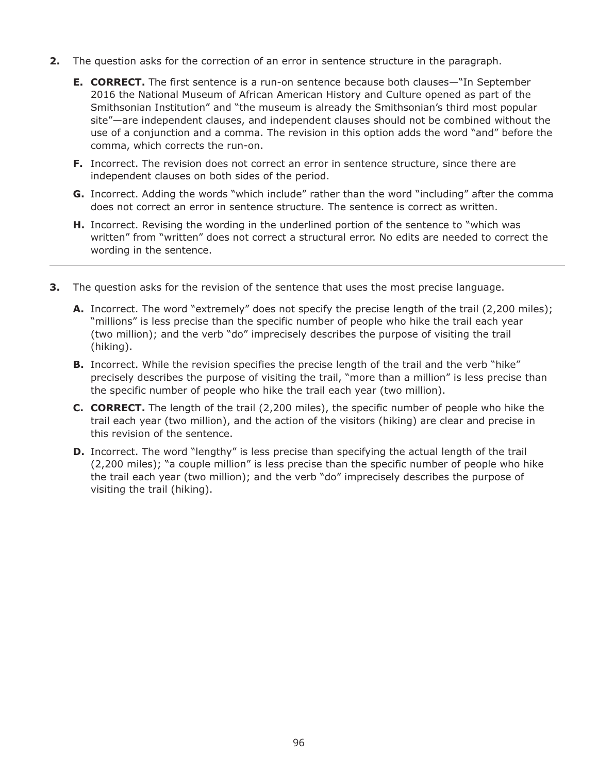- **2.** The question asks for the correction of an error in sentence structure in the paragraph.
	- **E. CORRECT.** The first sentence is a run-on sentence because both clauses—"In September 2016 the National Museum of African American History and Culture opened as part of the Smithsonian Institution" and "the museum is already the Smithsonian's third most popular site"—are independent clauses, and independent clauses should not be combined without the use of a conjunction and a comma. The revision in this option adds the word "and" before the comma, which corrects the run-on.
	- **F.** Incorrect. The revision does not correct an error in sentence structure, since there are independent clauses on both sides of the period.
	- **G.** Incorrect. Adding the words "which include" rather than the word "including" after the comma does not correct an error in sentence structure. The sentence is correct as written.
	- **H.** Incorrect. Revising the wording in the underlined portion of the sentence to "which was written" from "written" does not correct a structural error. No edits are needed to correct the wording in the sentence.
- **3.** The question asks for the revision of the sentence that uses the most precise language.
	- **A.** Incorrect. The word "extremely" does not specify the precise length of the trail (2,200 miles); "millions" is less precise than the specific number of people who hike the trail each year (two million); and the verb "do" imprecisely describes the purpose of visiting the trail (hiking).
	- **B.** Incorrect. While the revision specifies the precise length of the trail and the verb "hike" precisely describes the purpose of visiting the trail, "more than a million" is less precise than the specific number of people who hike the trail each year (two million).
	- **C. CORRECT.** The length of the trail (2,200 miles), the specific number of people who hike the trail each year (two million), and the action of the visitors (hiking) are clear and precise in this revision of the sentence.
	- **D.** Incorrect. The word "lengthy" is less precise than specifying the actual length of the trail (2,200 miles); "a couple million" is less precise than the specific number of people who hike the trail each year (two million); and the verb "do" imprecisely describes the purpose of visiting the trail (hiking).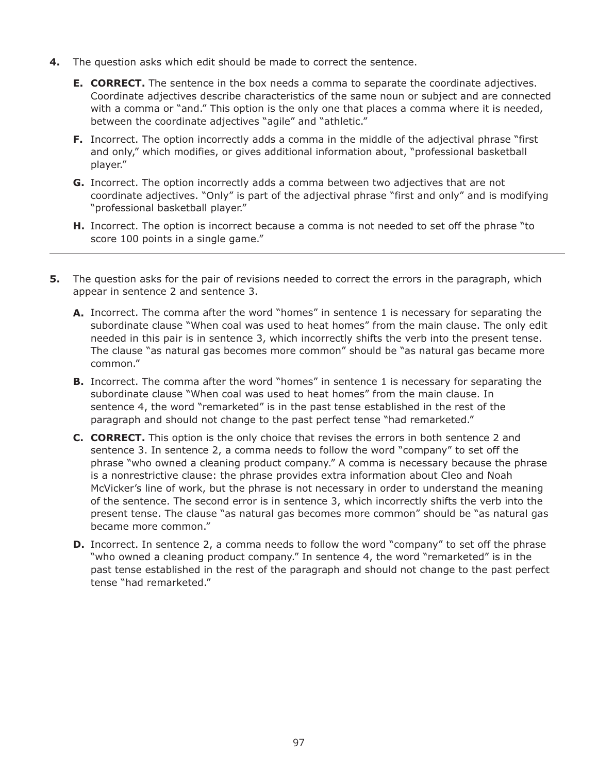- **4.** The question asks which edit should be made to correct the sentence.
	- **E. CORRECT.** The sentence in the box needs a comma to separate the coordinate adjectives. Coordinate adjectives describe characteristics of the same noun or subject and are connected with a comma or "and." This option is the only one that places a comma where it is needed, between the coordinate adjectives "agile" and "athletic."
	- **F.** Incorrect. The option incorrectly adds a comma in the middle of the adjectival phrase "first and only," which modifies, or gives additional information about, "professional basketball player."
	- **G.** Incorrect. The option incorrectly adds a comma between two adjectives that are not coordinate adjectives. "Only" is part of the adjectival phrase "first and only" and is modifying "professional basketball player."
	- **H.** Incorrect. The option is incorrect because a comma is not needed to set off the phrase "to score 100 points in a single game."
- **5.** The question asks for the pair of revisions needed to correct the errors in the paragraph, which appear in sentence 2 and sentence 3.
	- **A.** Incorrect. The comma after the word "homes" in sentence 1 is necessary for separating the subordinate clause "When coal was used to heat homes" from the main clause. The only edit needed in this pair is in sentence 3, which incorrectly shifts the verb into the present tense. The clause "as natural gas becomes more common" should be "as natural gas became more common."
	- **B.** Incorrect. The comma after the word "homes" in sentence 1 is necessary for separating the subordinate clause "When coal was used to heat homes" from the main clause. In sentence 4, the word "remarketed" is in the past tense established in the rest of the paragraph and should not change to the past perfect tense "had remarketed."
	- **C. CORRECT.** This option is the only choice that revises the errors in both sentence 2 and sentence 3. In sentence 2, a comma needs to follow the word "company" to set off the phrase "who owned a cleaning product company." A comma is necessary because the phrase is a nonrestrictive clause: the phrase provides extra information about Cleo and Noah McVicker's line of work, but the phrase is not necessary in order to understand the meaning of the sentence. The second error is in sentence 3, which incorrectly shifts the verb into the present tense. The clause "as natural gas becomes more common" should be "as natural gas became more common."
	- **D.** Incorrect. In sentence 2, a comma needs to follow the word "company" to set off the phrase "who owned a cleaning product company." In sentence 4, the word "remarketed" is in the past tense established in the rest of the paragraph and should not change to the past perfect tense "had remarketed."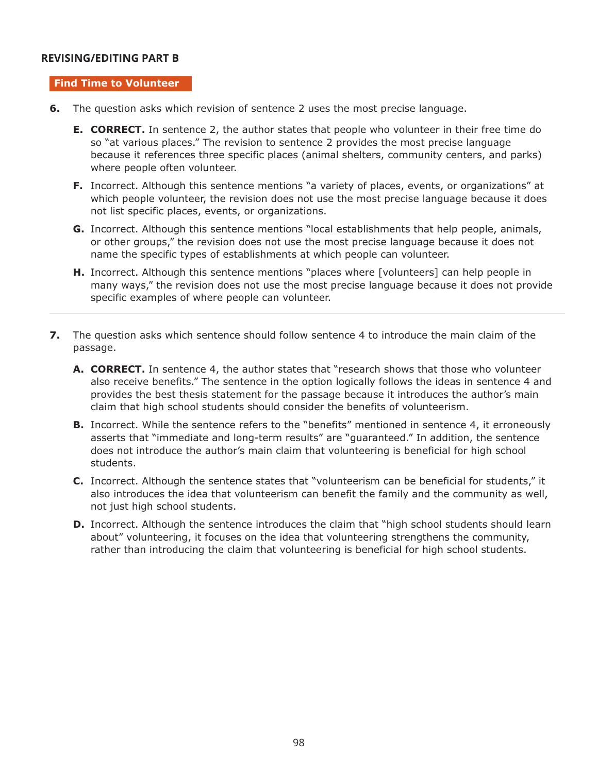### **REVISING/EDITING PART B REVISING/EDITING PART B**

#### **Find Time to Volunteer**

- **6.** The question asks which revision of sentence 2 uses the most precise language.
	- **E. CORRECT.** In sentence 2, the author states that people who volunteer in their free time do so "at various places." The revision to sentence 2 provides the most precise language because it references three specific places (animal shelters, community centers, and parks) where people often volunteer.
	- **F.** Incorrect. Although this sentence mentions "a variety of places, events, or organizations" at which people volunteer, the revision does not use the most precise language because it does not list specific places, events, or organizations.
	- **G.** Incorrect. Although this sentence mentions "local establishments that help people, animals, or other groups," the revision does not use the most precise language because it does not name the specific types of establishments at which people can volunteer.
	- **H.** Incorrect. Although this sentence mentions "places where [volunteers] can help people in many ways," the revision does not use the most precise language because it does not provide specific examples of where people can volunteer.
- **7.** The question asks which sentence should follow sentence 4 to introduce the main claim of the passage.
	- **A. CORRECT.** In sentence 4, the author states that "research shows that those who volunteer also receive benefits." The sentence in the option logically follows the ideas in sentence 4 and provides the best thesis statement for the passage because it introduces the author's main claim that high school students should consider the benefits of volunteerism.
	- **B.** Incorrect. While the sentence refers to the "benefits" mentioned in sentence 4, it erroneously asserts that "immediate and long-term results" are "guaranteed." In addition, the sentence does not introduce the author's main claim that volunteering is beneficial for high school students.
	- **C.** Incorrect. Although the sentence states that "volunteerism can be beneficial for students," it also introduces the idea that volunteerism can benefit the family and the community as well, not just high school students.
	- **D.** Incorrect. Although the sentence introduces the claim that "high school students should learn about" volunteering, it focuses on the idea that volunteering strengthens the community, rather than introducing the claim that volunteering is beneficial for high school students.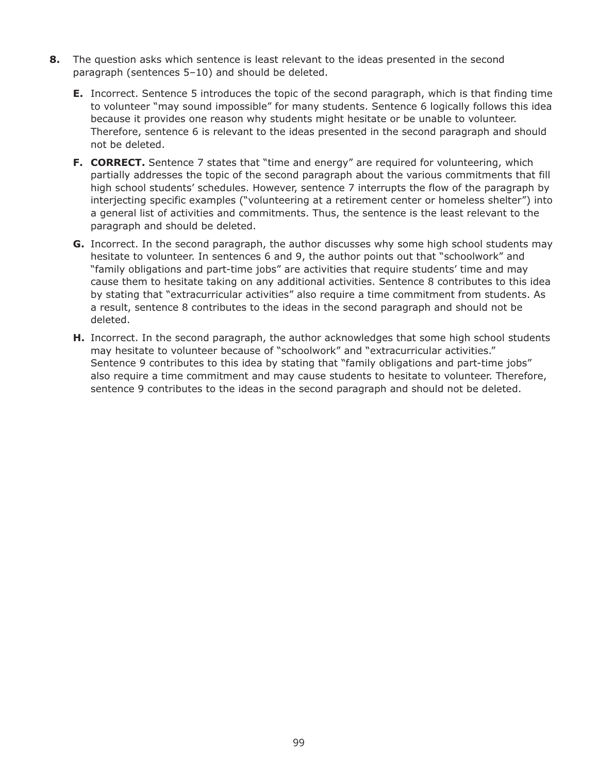- **8.** The question asks which sentence is least relevant to the ideas presented in the second paragraph (sentences 5–10) and should be deleted.
	- **E.** Incorrect. Sentence 5 introduces the topic of the second paragraph, which is that finding time to volunteer "may sound impossible" for many students. Sentence 6 logically follows this idea because it provides one reason why students might hesitate or be unable to volunteer. Therefore, sentence 6 is relevant to the ideas presented in the second paragraph and should not be deleted.
	- **F. CORRECT.** Sentence 7 states that "time and energy" are required for volunteering, which partially addresses the topic of the second paragraph about the various commitments that fill high school students' schedules. However, sentence 7 interrupts the flow of the paragraph by interjecting specific examples ("volunteering at a retirement center or homeless shelter") into a general list of activities and commitments. Thus, the sentence is the least relevant to the paragraph and should be deleted.
	- **G.** Incorrect. In the second paragraph, the author discusses why some high school students may hesitate to volunteer. In sentences 6 and 9, the author points out that "schoolwork" and "family obligations and part-time jobs" are activities that require students' time and may cause them to hesitate taking on any additional activities. Sentence 8 contributes to this idea by stating that "extracurricular activities" also require a time commitment from students. As a result, sentence 8 contributes to the ideas in the second paragraph and should not be deleted.
	- **H.** Incorrect. In the second paragraph, the author acknowledges that some high school students may hesitate to volunteer because of "schoolwork" and "extracurricular activities." Sentence 9 contributes to this idea by stating that "family obligations and part-time jobs" also require a time commitment and may cause students to hesitate to volunteer. Therefore, sentence 9 contributes to the ideas in the second paragraph and should not be deleted.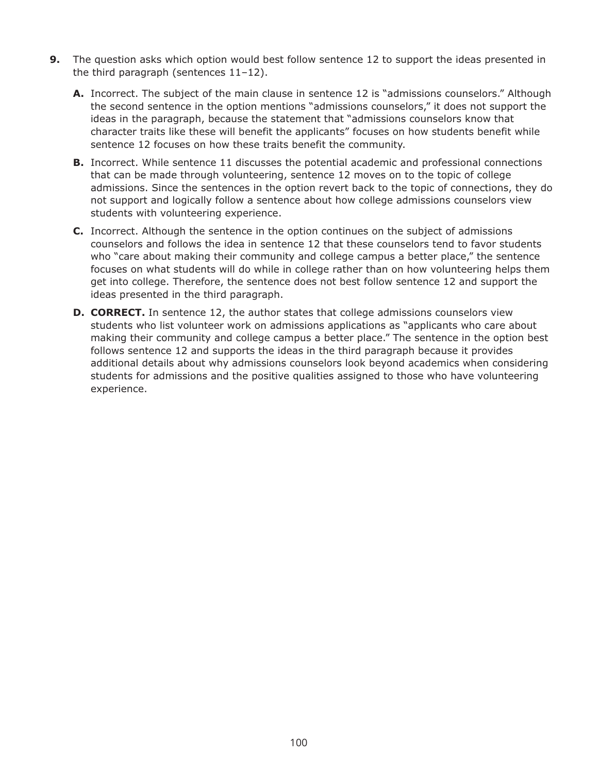- **9.** The question asks which option would best follow sentence 12 to support the ideas presented in the third paragraph (sentences 11–12).
	- **A.** Incorrect. The subject of the main clause in sentence 12 is "admissions counselors." Although the second sentence in the option mentions "admissions counselors," it does not support the ideas in the paragraph, because the statement that "admissions counselors know that character traits like these will benefit the applicants" focuses on how students benefit while sentence 12 focuses on how these traits benefit the community.
	- **B.** Incorrect. While sentence 11 discusses the potential academic and professional connections that can be made through volunteering, sentence 12 moves on to the topic of college admissions. Since the sentences in the option revert back to the topic of connections, they do not support and logically follow a sentence about how college admissions counselors view students with volunteering experience.
	- **C.** Incorrect. Although the sentence in the option continues on the subject of admissions counselors and follows the idea in sentence 12 that these counselors tend to favor students who "care about making their community and college campus a better place," the sentence focuses on what students will do while in college rather than on how volunteering helps them get into college. Therefore, the sentence does not best follow sentence 12 and support the ideas presented in the third paragraph.
	- **D. CORRECT.** In sentence 12, the author states that college admissions counselors view students who list volunteer work on admissions applications as "applicants who care about making their community and college campus a better place." The sentence in the option best follows sentence 12 and supports the ideas in the third paragraph because it provides additional details about why admissions counselors look beyond academics when considering students for admissions and the positive qualities assigned to those who have volunteering experience.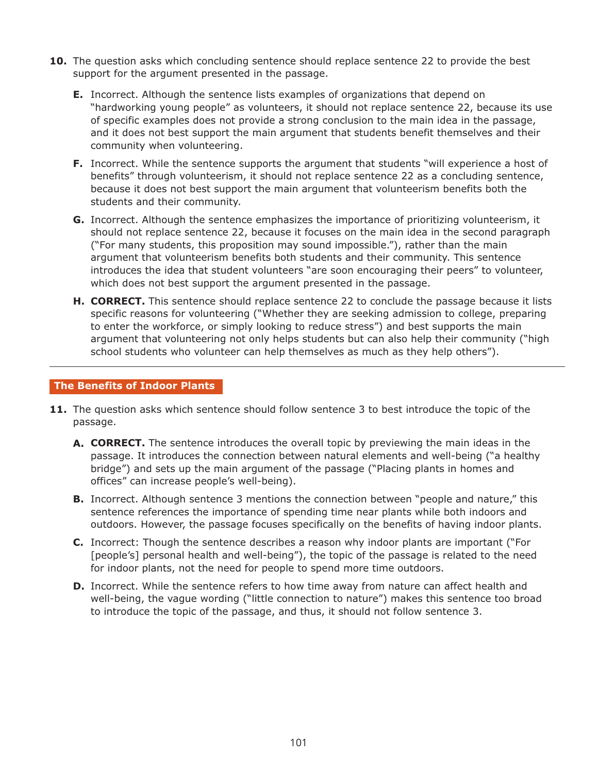- **10.** The question asks which concluding sentence should replace sentence 22 to provide the best support for the argument presented in the passage.
	- **E.** Incorrect. Although the sentence lists examples of organizations that depend on "hardworking young people" as volunteers, it should not replace sentence 22, because its use of specific examples does not provide a strong conclusion to the main idea in the passage, and it does not best support the main argument that students benefit themselves and their community when volunteering.
	- **F.** Incorrect. While the sentence supports the argument that students "will experience a host of benefits" through volunteerism, it should not replace sentence 22 as a concluding sentence, because it does not best support the main argument that volunteerism benefits both the students and their community.
	- **G.** Incorrect. Although the sentence emphasizes the importance of prioritizing volunteerism, it should not replace sentence 22, because it focuses on the main idea in the second paragraph ("For many students, this proposition may sound impossible."), rather than the main argument that volunteerism benefits both students and their community. This sentence introduces the idea that student volunteers "are soon encouraging their peers" to volunteer, which does not best support the argument presented in the passage.
	- **H. CORRECT.** This sentence should replace sentence 22 to conclude the passage because it lists specific reasons for volunteering ("Whether they are seeking admission to college, preparing to enter the workforce, or simply looking to reduce stress") and best supports the main argument that volunteering not only helps students but can also help their community ("high school students who volunteer can help themselves as much as they help others").

#### **The Benefits of Indoor Plants**

- **11.** The question asks which sentence should follow sentence 3 to best introduce the topic of the passage.
	- **A. CORRECT.** The sentence introduces the overall topic by previewing the main ideas in the passage. It introduces the connection between natural elements and well-being ("a healthy bridge") and sets up the main argument of the passage ("Placing plants in homes and offices" can increase people's well-being).
	- **B.** Incorrect. Although sentence 3 mentions the connection between "people and nature," this sentence references the importance of spending time near plants while both indoors and outdoors. However, the passage focuses specifically on the benefits of having indoor plants.
	- **C.** Incorrect: Though the sentence describes a reason why indoor plants are important ("For [people's] personal health and well-being"), the topic of the passage is related to the need for indoor plants, not the need for people to spend more time outdoors.
	- **D.** Incorrect. While the sentence refers to how time away from nature can affect health and well-being, the vague wording ("little connection to nature") makes this sentence too broad to introduce the topic of the passage, and thus, it should not follow sentence 3.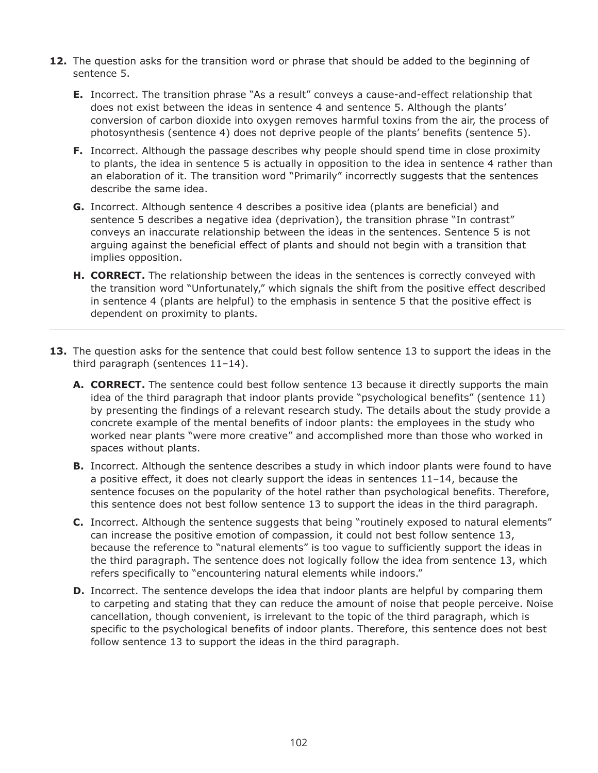- **12.** The question asks for the transition word or phrase that should be added to the beginning of sentence 5.
	- **E.** Incorrect. The transition phrase "As a result" conveys a cause-and-effect relationship that does not exist between the ideas in sentence 4 and sentence 5. Although the plants' conversion of carbon dioxide into oxygen removes harmful toxins from the air, the process of photosynthesis (sentence 4) does not deprive people of the plants' benefits (sentence 5).
	- **F.** Incorrect. Although the passage describes why people should spend time in close proximity to plants, the idea in sentence 5 is actually in opposition to the idea in sentence 4 rather than an elaboration of it. The transition word "Primarily" incorrectly suggests that the sentences describe the same idea.
	- **G.** Incorrect. Although sentence 4 describes a positive idea (plants are beneficial) and sentence 5 describes a negative idea (deprivation), the transition phrase "In contrast" conveys an inaccurate relationship between the ideas in the sentences. Sentence 5 is not arguing against the beneficial effect of plants and should not begin with a transition that implies opposition.
	- **H. CORRECT.** The relationship between the ideas in the sentences is correctly conveyed with the transition word "Unfortunately," which signals the shift from the positive effect described in sentence 4 (plants are helpful) to the emphasis in sentence 5 that the positive effect is dependent on proximity to plants.
- **13.** The question asks for the sentence that could best follow sentence 13 to support the ideas in the third paragraph (sentences 11–14).
	- **A. CORRECT.** The sentence could best follow sentence 13 because it directly supports the main idea of the third paragraph that indoor plants provide "psychological benefits" (sentence 11) by presenting the findings of a relevant research study. The details about the study provide a concrete example of the mental benefits of indoor plants: the employees in the study who worked near plants "were more creative" and accomplished more than those who worked in spaces without plants.
	- **B.** Incorrect. Although the sentence describes a study in which indoor plants were found to have a positive effect, it does not clearly support the ideas in sentences 11–14, because the sentence focuses on the popularity of the hotel rather than psychological benefits. Therefore, this sentence does not best follow sentence 13 to support the ideas in the third paragraph.
	- **C.** Incorrect. Although the sentence suggests that being "routinely exposed to natural elements" can increase the positive emotion of compassion, it could not best follow sentence 13, because the reference to "natural elements" is too vague to sufficiently support the ideas in the third paragraph. The sentence does not logically follow the idea from sentence 13, which refers specifically to "encountering natural elements while indoors."
	- **D.** Incorrect. The sentence develops the idea that indoor plants are helpful by comparing them to carpeting and stating that they can reduce the amount of noise that people perceive. Noise cancellation, though convenient, is irrelevant to the topic of the third paragraph, which is specific to the psychological benefits of indoor plants. Therefore, this sentence does not best follow sentence 13 to support the ideas in the third paragraph.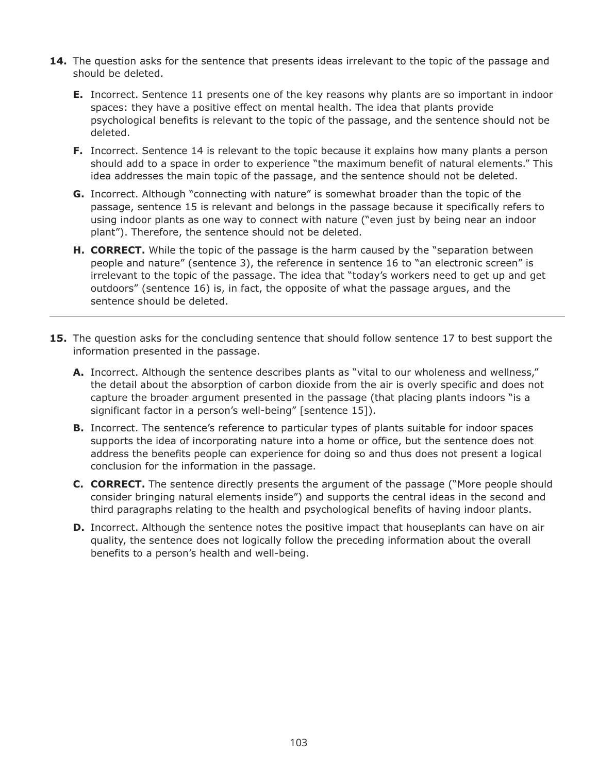- **14.** The question asks for the sentence that presents ideas irrelevant to the topic of the passage and should be deleted.
	- **E.** Incorrect. Sentence 11 presents one of the key reasons why plants are so important in indoor spaces: they have a positive effect on mental health. The idea that plants provide psychological benefits is relevant to the topic of the passage, and the sentence should not be deleted.
	- **F.** Incorrect. Sentence 14 is relevant to the topic because it explains how many plants a person should add to a space in order to experience "the maximum benefit of natural elements." This idea addresses the main topic of the passage, and the sentence should not be deleted.
	- **G.** Incorrect. Although "connecting with nature" is somewhat broader than the topic of the passage, sentence 15 is relevant and belongs in the passage because it specifically refers to using indoor plants as one way to connect with nature ("even just by being near an indoor plant"). Therefore, the sentence should not be deleted.
	- **H. CORRECT.** While the topic of the passage is the harm caused by the "separation between people and nature" (sentence 3), the reference in sentence 16 to "an electronic screen" is irrelevant to the topic of the passage. The idea that "today's workers need to get up and get outdoors" (sentence 16) is, in fact, the opposite of what the passage argues, and the sentence should be deleted.
- **15.** The question asks for the concluding sentence that should follow sentence 17 to best support the information presented in the passage.
	- **A.** Incorrect. Although the sentence describes plants as "vital to our wholeness and wellness," the detail about the absorption of carbon dioxide from the air is overly specific and does not capture the broader argument presented in the passage (that placing plants indoors "is a significant factor in a person's well-being" [sentence 15]).
	- **B.** Incorrect. The sentence's reference to particular types of plants suitable for indoor spaces supports the idea of incorporating nature into a home or office, but the sentence does not address the benefits people can experience for doing so and thus does not present a logical conclusion for the information in the passage.
	- **C. CORRECT.** The sentence directly presents the argument of the passage ("More people should consider bringing natural elements inside") and supports the central ideas in the second and third paragraphs relating to the health and psychological benefits of having indoor plants.
	- **D.** Incorrect. Although the sentence notes the positive impact that houseplants can have on air quality, the sentence does not logically follow the preceding information about the overall benefits to a person's health and well-being.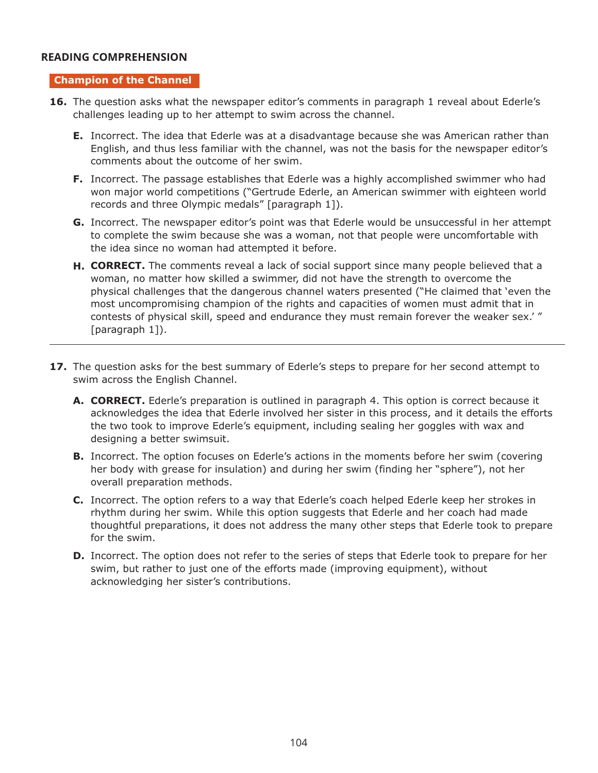## **READING COMPREHENSION READING COMPREHENSION**

#### **Champion of the Channel**

- 16. The question asks what the newspaper editor's comments in paragraph 1 reveal about Ederle's challenges leading up to her attempt to swim across the channel.
	- **E.** Incorrect. The idea that Ederle was at a disadvantage because she was American rather than English, and thus less familiar with the channel, was not the basis for the newspaper editor's comments about the outcome of her swim.
	- **F.** Incorrect. The passage establishes that Ederle was a highly accomplished swimmer who had won major world competitions ("Gertrude Ederle, an American swimmer with eighteen world records and three Olympic medals" [paragraph 1]).
	- **G.** Incorrect. The newspaper editor's point was that Ederle would be unsuccessful in her attempt to complete the swim because she was a woman, not that people were uncomfortable with the idea since no woman had attempted it before.
	- **H. CORRECT.** The comments reveal a lack of social support since many people believed that a woman, no matter how skilled a swimmer, did not have the strength to overcome the physical challenges that the dangerous channel waters presented ("He claimed that 'even the most uncompromising champion of the rights and capacities of women must admit that in contests of physical skill, speed and endurance they must remain forever the weaker sex.' " [paragraph 1]).
- **17.** The question asks for the best summary of Ederle's steps to prepare for her second attempt to swim across the English Channel.
	- **A. CORRECT.** Ederle's preparation is outlined in paragraph 4. This option is correct because it acknowledges the idea that Ederle involved her sister in this process, and it details the efforts the two took to improve Ederle's equipment, including sealing her goggles with wax and designing a better swimsuit.
	- **B.** Incorrect. The option focuses on Ederle's actions in the moments before her swim (covering her body with grease for insulation) and during her swim (finding her "sphere"), not her overall preparation methods.
	- **C.** Incorrect. The option refers to a way that Ederle's coach helped Ederle keep her strokes in rhythm during her swim. While this option suggests that Ederle and her coach had made thoughtful preparations, it does not address the many other steps that Ederle took to prepare for the swim.
	- **D.** Incorrect. The option does not refer to the series of steps that Ederle took to prepare for her swim, but rather to just one of the efforts made (improving equipment), without acknowledging her sister's contributions.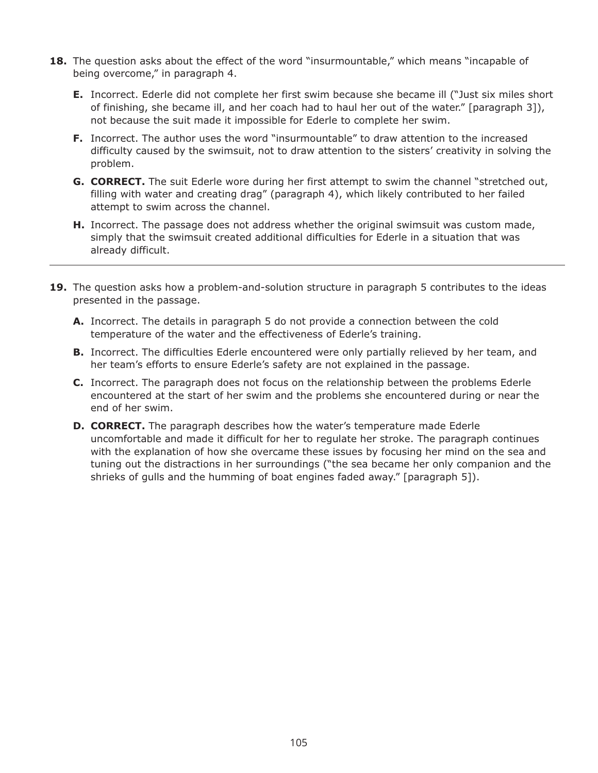- **18.** The question asks about the effect of the word "insurmountable," which means "incapable of being overcome," in paragraph 4.
	- **E.** Incorrect. Ederle did not complete her first swim because she became ill ("Just six miles short of finishing, she became ill, and her coach had to haul her out of the water." [paragraph 3]), not because the suit made it impossible for Ederle to complete her swim.
	- **F.** Incorrect. The author uses the word "insurmountable" to draw attention to the increased difficulty caused by the swimsuit, not to draw attention to the sisters' creativity in solving the problem.
	- **G. CORRECT.** The suit Ederle wore during her first attempt to swim the channel "stretched out, filling with water and creating drag" (paragraph 4), which likely contributed to her failed attempt to swim across the channel.
	- **H.** Incorrect. The passage does not address whether the original swimsuit was custom made, simply that the swimsuit created additional difficulties for Ederle in a situation that was already difficult.
- **19.** The question asks how a problem-and-solution structure in paragraph 5 contributes to the ideas presented in the passage.
	- **A.** Incorrect. The details in paragraph 5 do not provide a connection between the cold temperature of the water and the effectiveness of Ederle's training.
	- **B.** Incorrect. The difficulties Ederle encountered were only partially relieved by her team, and her team's efforts to ensure Ederle's safety are not explained in the passage.
	- **C.** Incorrect. The paragraph does not focus on the relationship between the problems Ederle encountered at the start of her swim and the problems she encountered during or near the end of her swim.
	- **D. CORRECT.** The paragraph describes how the water's temperature made Ederle uncomfortable and made it difficult for her to regulate her stroke. The paragraph continues with the explanation of how she overcame these issues by focusing her mind on the sea and tuning out the distractions in her surroundings ("the sea became her only companion and the shrieks of gulls and the humming of boat engines faded away." [paragraph 5]).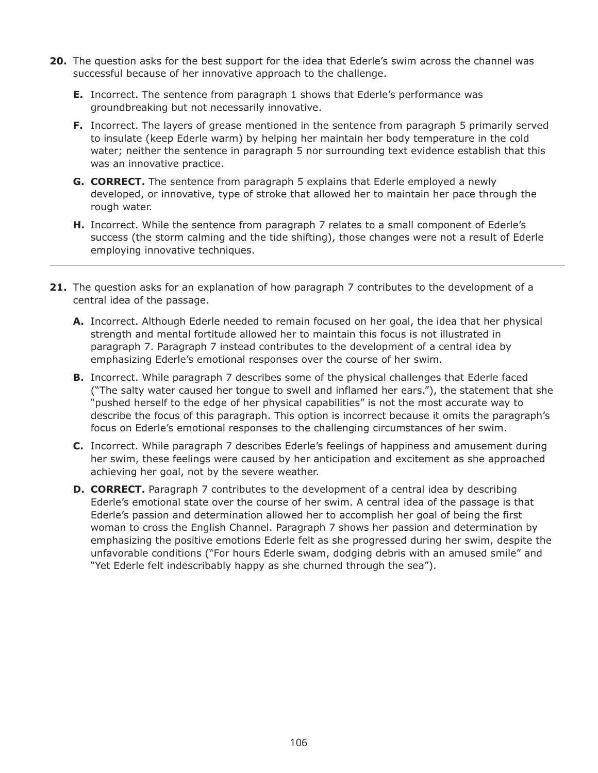- **20.** The question asks for the best support for the idea that Ederle's swim across the channel was successful because of her innovative approach to the challenge.
	- **E.** Incorrect. The sentence from paragraph 1 shows that Ederle's performance was groundbreaking but not necessarily innovative.
	- **F.** Incorrect. The layers of grease mentioned in the sentence from paragraph 5 primarily served to insulate (keep Ederle warm) by helping her maintain her body temperature in the cold water; neither the sentence in paragraph 5 nor surrounding text evidence establish that this was an innovative practice.
	- **G. CORRECT.** The sentence from paragraph 5 explains that Ederle employed a newly developed, or innovative, type of stroke that allowed her to maintain her pace through the rough water.
	- **H.** Incorrect. While the sentence from paragraph 7 relates to a small component of Ederle's success (the storm calming and the tide shifting), those changes were not a result of Ederle employing innovative techniques.
- **21.** The question asks for an explanation of how paragraph 7 contributes to the development of a central idea of the passage.
	- **A.** Incorrect. Although Ederle needed to remain focused on her goal, the idea that her physical strength and mental fortitude allowed her to maintain this focus is not illustrated in paragraph 7. Paragraph 7 instead contributes to the development of a central idea by emphasizing Ederle's emotional responses over the course of her swim.
	- **B.** Incorrect. While paragraph 7 describes some of the physical challenges that Ederle faced ("The salty water caused her tongue to swell and inflamed her ears."), the statement that she "pushed herself to the edge of her physical capabilities" is not the most accurate way to describe the focus of this paragraph. This option is incorrect because it omits the paragraph's focus on Ederle's emotional responses to the challenging circumstances of her swim.
	- **C.** Incorrect. While paragraph 7 describes Ederle's feelings of happiness and amusement during her swim, these feelings were caused by her anticipation and excitement as she approached achieving her goal, not by the severe weather.
	- **D. CORRECT.** Paragraph 7 contributes to the development of a central idea by describing Ederle's emotional state over the course of her swim. A central idea of the passage is that Ederle's passion and determination allowed her to accomplish her goal of being the first woman to cross the English Channel. Paragraph 7 shows her passion and determination by emphasizing the positive emotions Ederle felt as she progressed during her swim, despite the unfavorable conditions ("For hours Ederle swam, dodging debris with an amused smile" and "Yet Ederle felt indescribably happy as she churned through the sea").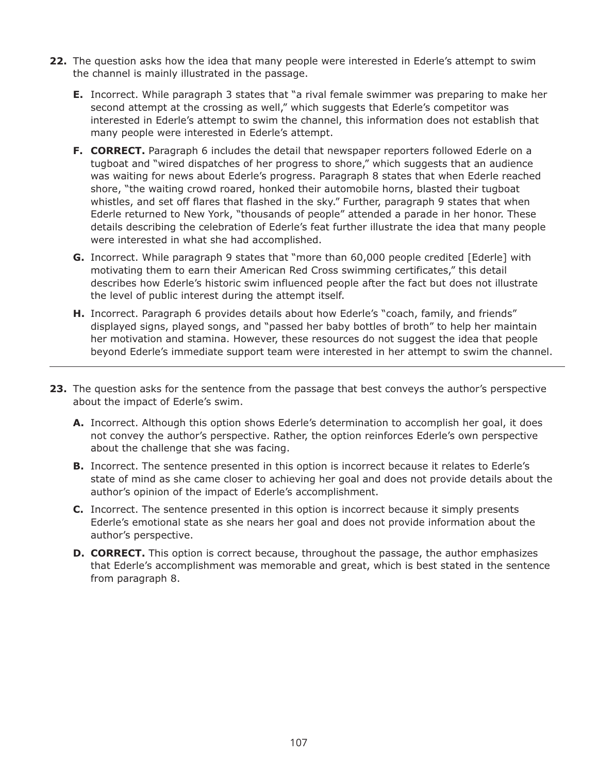- **22.** The question asks how the idea that many people were interested in Ederle's attempt to swim the channel is mainly illustrated in the passage.
	- **E.** Incorrect. While paragraph 3 states that "a rival female swimmer was preparing to make her second attempt at the crossing as well," which suggests that Ederle's competitor was interested in Ederle's attempt to swim the channel, this information does not establish that many people were interested in Ederle's attempt.
	- **F. CORRECT.** Paragraph 6 includes the detail that newspaper reporters followed Ederle on a tugboat and "wired dispatches of her progress to shore," which suggests that an audience was waiting for news about Ederle's progress. Paragraph 8 states that when Ederle reached shore, "the waiting crowd roared, honked their automobile horns, blasted their tugboat whistles, and set off flares that flashed in the sky." Further, paragraph 9 states that when Ederle returned to New York, "thousands of people" attended a parade in her honor. These details describing the celebration of Ederle's feat further illustrate the idea that many people were interested in what she had accomplished.
	- **G.** Incorrect. While paragraph 9 states that "more than 60,000 people credited [Ederle] with motivating them to earn their American Red Cross swimming certificates," this detail describes how Ederle's historic swim influenced people after the fact but does not illustrate the level of public interest during the attempt itself.
	- **H.** Incorrect. Paragraph 6 provides details about how Ederle's "coach, family, and friends" displayed signs, played songs, and "passed her baby bottles of broth" to help her maintain her motivation and stamina. However, these resources do not suggest the idea that people beyond Ederle's immediate support team were interested in her attempt to swim the channel.
- **23.** The question asks for the sentence from the passage that best conveys the author's perspective about the impact of Ederle's swim.
	- **A.** Incorrect. Although this option shows Ederle's determination to accomplish her goal, it does not convey the author's perspective. Rather, the option reinforces Ederle's own perspective about the challenge that she was facing.
	- **B.** Incorrect. The sentence presented in this option is incorrect because it relates to Ederle's state of mind as she came closer to achieving her goal and does not provide details about the author's opinion of the impact of Ederle's accomplishment.
	- **C.** Incorrect. The sentence presented in this option is incorrect because it simply presents Ederle's emotional state as she nears her goal and does not provide information about the author's perspective.
	- **D. CORRECT.** This option is correct because, throughout the passage, the author emphasizes that Ederle's accomplishment was memorable and great, which is best stated in the sentence from paragraph 8.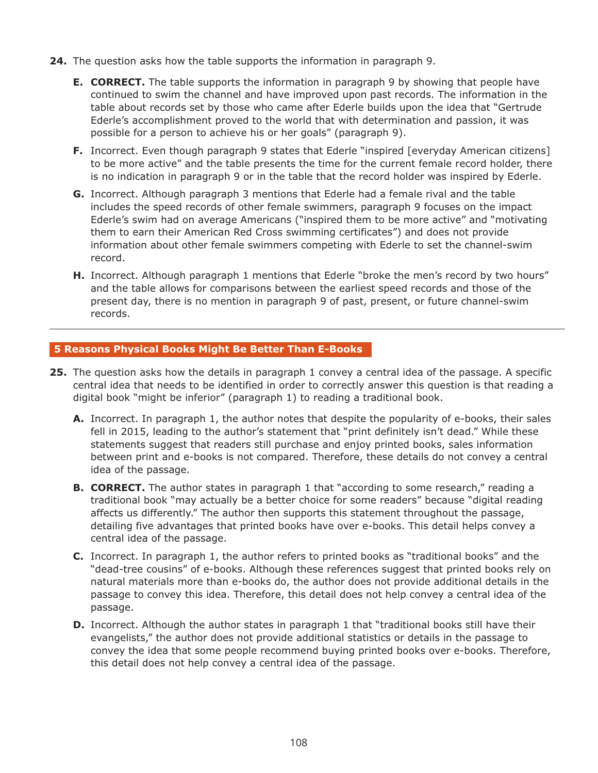- **24.** The question asks how the table supports the information in paragraph 9.
	- **E. CORRECT.** The table supports the information in paragraph 9 by showing that people have continued to swim the channel and have improved upon past records. The information in the table about records set by those who came after Ederle builds upon the idea that "Gertrude Ederle's accomplishment proved to the world that with determination and passion, it was possible for a person to achieve his or her goals" (paragraph 9).
	- **F.** Incorrect. Even though paragraph 9 states that Ederle "inspired [everyday American citizens] to be more active" and the table presents the time for the current female record holder, there is no indication in paragraph 9 or in the table that the record holder was inspired by Ederle.
	- **G.** Incorrect. Although paragraph 3 mentions that Ederle had a female rival and the table includes the speed records of other female swimmers, paragraph 9 focuses on the impact Ederle's swim had on average Americans ("inspired them to be more active" and "motivating them to earn their American Red Cross swimming certificates") and does not provide information about other female swimmers competing with Ederle to set the channel-swim record.
	- **H.** Incorrect. Although paragraph 1 mentions that Ederle "broke the men's record by two hours" and the table allows for comparisons between the earliest speed records and those of the present day, there is no mention in paragraph 9 of past, present, or future channel-swim records.

#### **5 Reasons Physical Books Might Be Better Than E-Books**

- **25.** The question asks how the details in paragraph 1 convey a central idea of the passage. A specific central idea that needs to be identified in order to correctly answer this question is that reading a digital book "might be inferior" (paragraph 1) to reading a traditional book.
	- **A.** Incorrect. In paragraph 1, the author notes that despite the popularity of e-books, their sales fell in 2015, leading to the author's statement that "print definitely isn't dead." While these statements suggest that readers still purchase and enjoy printed books, sales information between print and e-books is not compared. Therefore, these details do not convey a central idea of the passage.
	- **B. CORRECT.** The author states in paragraph 1 that "according to some research," reading a traditional book "may actually be a better choice for some readers" because "digital reading affects us differently." The author then supports this statement throughout the passage, detailing five advantages that printed books have over e-books. This detail helps convey a central idea of the passage.
	- **C.** Incorrect. In paragraph 1, the author refers to printed books as "traditional books" and the "dead-tree cousins" of e-books. Although these references suggest that printed books rely on natural materials more than e-books do, the author does not provide additional details in the passage to convey this idea. Therefore, this detail does not help convey a central idea of the passage.
	- **D.** Incorrect. Although the author states in paragraph 1 that "traditional books still have their evangelists," the author does not provide additional statistics or details in the passage to convey the idea that some people recommend buying printed books over e-books. Therefore, this detail does not help convey a central idea of the passage.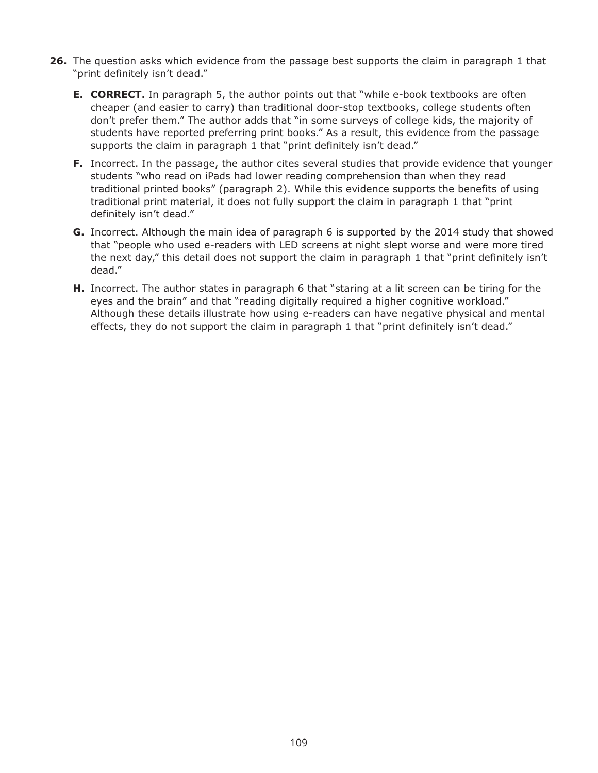- **26.** The question asks which evidence from the passage best supports the claim in paragraph 1 that "print definitely isn't dead."
	- **E. CORRECT.** In paragraph 5, the author points out that "while e-book textbooks are often cheaper (and easier to carry) than traditional door-stop textbooks, college students often don't prefer them." The author adds that "in some surveys of college kids, the majority of students have reported preferring print books." As a result, this evidence from the passage supports the claim in paragraph 1 that "print definitely isn't dead."
	- **F.** Incorrect. In the passage, the author cites several studies that provide evidence that younger students "who read on iPads had lower reading comprehension than when they read traditional printed books" (paragraph 2). While this evidence supports the benefits of using traditional print material, it does not fully support the claim in paragraph 1 that "print definitely isn't dead."
	- **G.** Incorrect. Although the main idea of paragraph 6 is supported by the 2014 study that showed that "people who used e-readers with LED screens at night slept worse and were more tired the next day," this detail does not support the claim in paragraph 1 that "print definitely isn't dead."
	- **H.** Incorrect. The author states in paragraph 6 that "staring at a lit screen can be tiring for the eyes and the brain" and that "reading digitally required a higher cognitive workload." Although these details illustrate how using e-readers can have negative physical and mental effects, they do not support the claim in paragraph 1 that "print definitely isn't dead."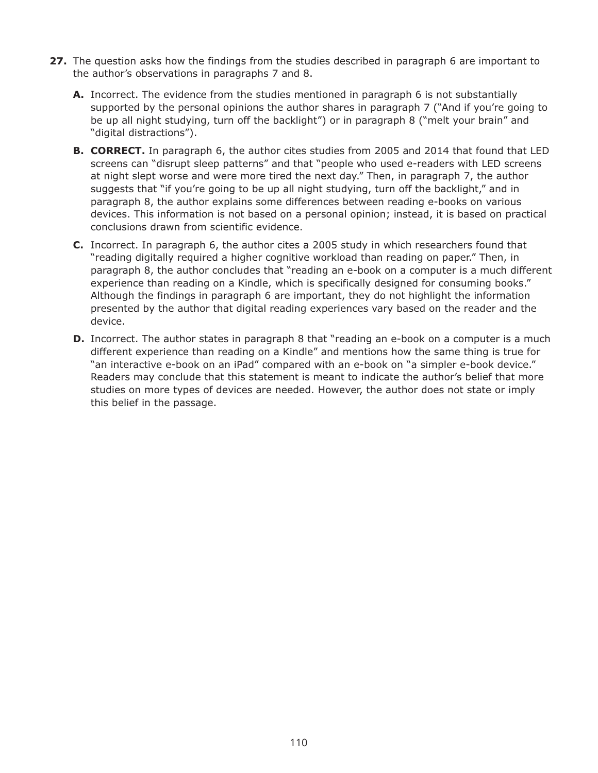- **27.** The question asks how the findings from the studies described in paragraph 6 are important to the author's observations in paragraphs 7 and 8.
	- **A.** Incorrect. The evidence from the studies mentioned in paragraph 6 is not substantially supported by the personal opinions the author shares in paragraph 7 ("And if you're going to be up all night studying, turn off the backlight") or in paragraph 8 ("melt your brain" and "digital distractions").
	- **B. CORRECT.** In paragraph 6, the author cites studies from 2005 and 2014 that found that LED screens can "disrupt sleep patterns" and that "people who used e-readers with LED screens at night slept worse and were more tired the next day." Then, in paragraph 7, the author suggests that "if you're going to be up all night studying, turn off the backlight," and in paragraph 8, the author explains some differences between reading e-books on various devices. This information is not based on a personal opinion; instead, it is based on practical conclusions drawn from scientific evidence.
	- **C.** Incorrect. In paragraph 6, the author cites a 2005 study in which researchers found that "reading digitally required a higher cognitive workload than reading on paper." Then, in paragraph 8, the author concludes that "reading an e-book on a computer is a much different experience than reading on a Kindle, which is specifically designed for consuming books." Although the findings in paragraph 6 are important, they do not highlight the information presented by the author that digital reading experiences vary based on the reader and the device.
	- **D.** Incorrect. The author states in paragraph 8 that "reading an e-book on a computer is a much different experience than reading on a Kindle" and mentions how the same thing is true for "an interactive e-book on an iPad" compared with an e-book on "a simpler e-book device." Readers may conclude that this statement is meant to indicate the author's belief that more studies on more types of devices are needed. However, the author does not state or imply this belief in the passage.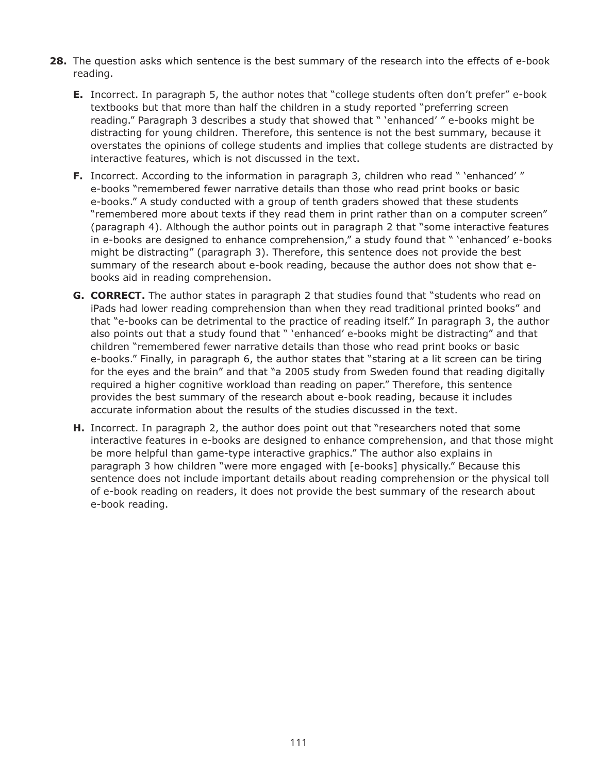- **28.** The question asks which sentence is the best summary of the research into the effects of e-book reading.
	- **E.** Incorrect. In paragraph 5, the author notes that "college students often don't prefer" e-book textbooks but that more than half the children in a study reported "preferring screen reading." Paragraph 3 describes a study that showed that " 'enhanced' " e-books might be distracting for young children. Therefore, this sentence is not the best summary, because it overstates the opinions of college students and implies that college students are distracted by interactive features, which is not discussed in the text.
	- **F.** Incorrect. According to the information in paragraph 3, children who read " 'enhanced' " e-books "remembered fewer narrative details than those who read print books or basic e-books." A study conducted with a group of tenth graders showed that these students "remembered more about texts if they read them in print rather than on a computer screen" (paragraph 4). Although the author points out in paragraph 2 that "some interactive features in e-books are designed to enhance comprehension," a study found that " 'enhanced' e-books might be distracting" (paragraph 3). Therefore, this sentence does not provide the best summary of the research about e-book reading, because the author does not show that ebooks aid in reading comprehension.
	- **G. CORRECT.** The author states in paragraph 2 that studies found that "students who read on iPads had lower reading comprehension than when they read traditional printed books" and that "e-books can be detrimental to the practice of reading itself." In paragraph 3, the author also points out that a study found that " 'enhanced' e-books might be distracting" and that children "remembered fewer narrative details than those who read print books or basic e-books." Finally, in paragraph 6, the author states that "staring at a lit screen can be tiring for the eyes and the brain" and that "a 2005 study from Sweden found that reading digitally required a higher cognitive workload than reading on paper." Therefore, this sentence provides the best summary of the research about e-book reading, because it includes accurate information about the results of the studies discussed in the text.
	- **H.** Incorrect. In paragraph 2, the author does point out that "researchers noted that some interactive features in e-books are designed to enhance comprehension, and that those might be more helpful than game-type interactive graphics." The author also explains in paragraph 3 how children "were more engaged with [e-books] physically." Because this sentence does not include important details about reading comprehension or the physical toll of e-book reading on readers, it does not provide the best summary of the research about e-book reading.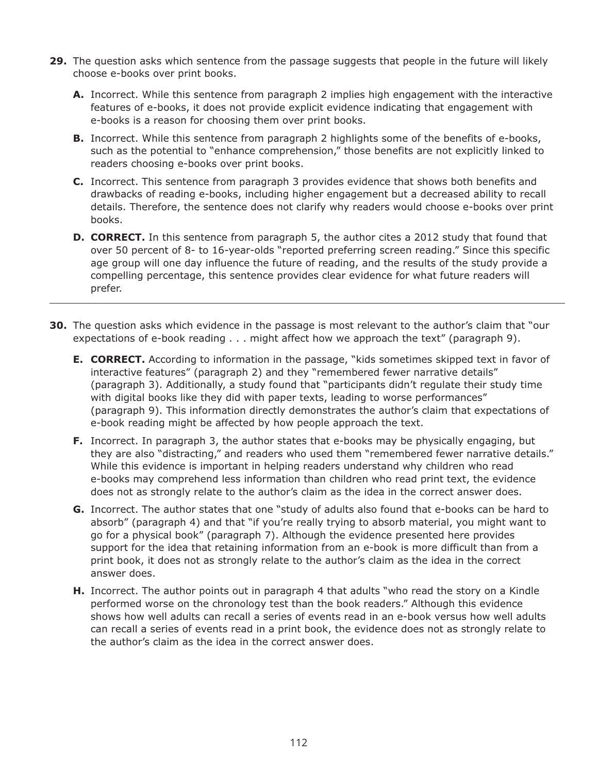- **29.** The question asks which sentence from the passage suggests that people in the future will likely choose e-books over print books.
	- **A.** Incorrect. While this sentence from paragraph 2 implies high engagement with the interactive features of e-books, it does not provide explicit evidence indicating that engagement with e-books is a reason for choosing them over print books.
	- **B.** Incorrect. While this sentence from paragraph 2 highlights some of the benefits of e-books, such as the potential to "enhance comprehension," those benefits are not explicitly linked to readers choosing e-books over print books.
	- **C.** Incorrect. This sentence from paragraph 3 provides evidence that shows both benefits and drawbacks of reading e-books, including higher engagement but a decreased ability to recall details. Therefore, the sentence does not clarify why readers would choose e-books over print books.
	- **D. CORRECT.** In this sentence from paragraph 5, the author cites a 2012 study that found that over 50 percent of 8- to 16-year-olds "reported preferring screen reading." Since this specific age group will one day influence the future of reading, and the results of the study provide a compelling percentage, this sentence provides clear evidence for what future readers will prefer.
- **30.** The question asks which evidence in the passage is most relevant to the author's claim that "our expectations of e-book reading . . . might affect how we approach the text" (paragraph 9).
	- **E. CORRECT.** According to information in the passage, "kids sometimes skipped text in favor of interactive features" (paragraph 2) and they "remembered fewer narrative details" (paragraph 3). Additionally, a study found that "participants didn't regulate their study time with digital books like they did with paper texts, leading to worse performances" (paragraph 9). This information directly demonstrates the author's claim that expectations of e-book reading might be affected by how people approach the text.
	- **F.** Incorrect. In paragraph 3, the author states that e-books may be physically engaging, but they are also "distracting," and readers who used them "remembered fewer narrative details." While this evidence is important in helping readers understand why children who read e-books may comprehend less information than children who read print text, the evidence does not as strongly relate to the author's claim as the idea in the correct answer does.
	- **G.** Incorrect. The author states that one "study of adults also found that e-books can be hard to absorb" (paragraph 4) and that "if you're really trying to absorb material, you might want to go for a physical book" (paragraph 7). Although the evidence presented here provides support for the idea that retaining information from an e-book is more difficult than from a print book, it does not as strongly relate to the author's claim as the idea in the correct answer does.
	- **H.** Incorrect. The author points out in paragraph 4 that adults "who read the story on a Kindle performed worse on the chronology test than the book readers." Although this evidence shows how well adults can recall a series of events read in an e-book versus how well adults can recall a series of events read in a print book, the evidence does not as strongly relate to the author's claim as the idea in the correct answer does.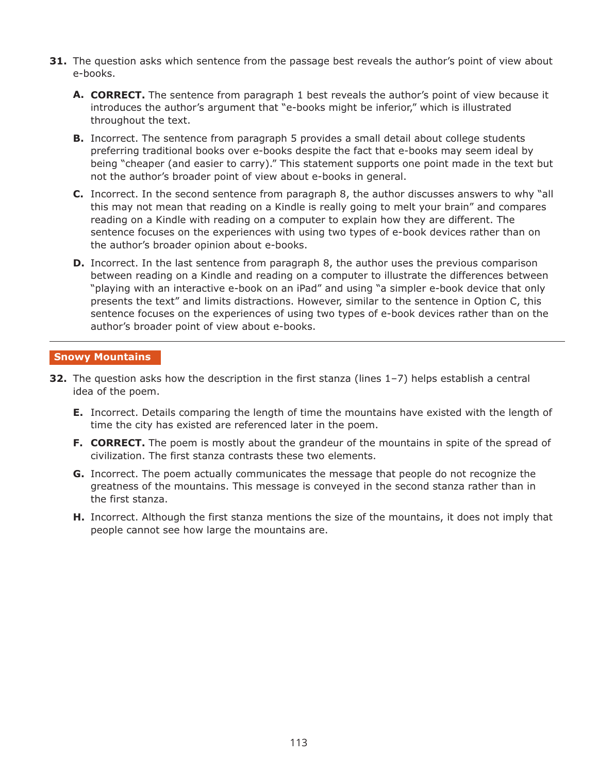- **31.** The question asks which sentence from the passage best reveals the author's point of view about e-books.
	- **A. CORRECT.** The sentence from paragraph 1 best reveals the author's point of view because it introduces the author's argument that "e-books might be inferior," which is illustrated throughout the text.
	- **B.** Incorrect. The sentence from paragraph 5 provides a small detail about college students preferring traditional books over e-books despite the fact that e-books may seem ideal by being "cheaper (and easier to carry)." This statement supports one point made in the text but not the author's broader point of view about e-books in general.
	- **C.** Incorrect. In the second sentence from paragraph 8, the author discusses answers to why "all this may not mean that reading on a Kindle is really going to melt your brain" and compares reading on a Kindle with reading on a computer to explain how they are different. The sentence focuses on the experiences with using two types of e-book devices rather than on the author's broader opinion about e-books.
	- **D.** Incorrect. In the last sentence from paragraph 8, the author uses the previous comparison between reading on a Kindle and reading on a computer to illustrate the differences between "playing with an interactive e-book on an iPad" and using "a simpler e-book device that only presents the text" and limits distractions. However, similar to the sentence in Option C, this sentence focuses on the experiences of using two types of e-book devices rather than on the author's broader point of view about e-books.

#### **Snowy Mountains**

- **32.** The question asks how the description in the first stanza (lines 1–7) helps establish a central idea of the poem.
	- **E.** Incorrect. Details comparing the length of time the mountains have existed with the length of time the city has existed are referenced later in the poem.
	- **F. CORRECT.** The poem is mostly about the grandeur of the mountains in spite of the spread of civilization. The first stanza contrasts these two elements.
	- **G.** Incorrect. The poem actually communicates the message that people do not recognize the greatness of the mountains. This message is conveyed in the second stanza rather than in the first stanza.
	- **H.** Incorrect. Although the first stanza mentions the size of the mountains, it does not imply that people cannot see how large the mountains are.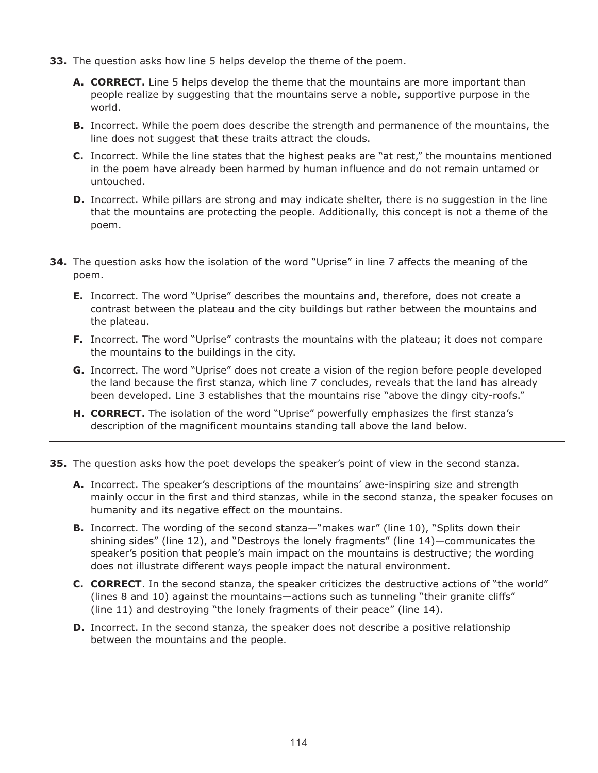- **33.** The question asks how line 5 helps develop the theme of the poem.
	- **A. CORRECT.** Line 5 helps develop the theme that the mountains are more important than people realize by suggesting that the mountains serve a noble, supportive purpose in the world.
	- **B.** Incorrect. While the poem does describe the strength and permanence of the mountains, the line does not suggest that these traits attract the clouds.
	- **C.** Incorrect. While the line states that the highest peaks are "at rest," the mountains mentioned in the poem have already been harmed by human influence and do not remain untamed or untouched.
	- **D.** Incorrect. While pillars are strong and may indicate shelter, there is no suggestion in the line that the mountains are protecting the people. Additionally, this concept is not a theme of the poem.
- **34.** The question asks how the isolation of the word "Uprise" in line 7 affects the meaning of the poem.
	- **E.** Incorrect. The word "Uprise" describes the mountains and, therefore, does not create a contrast between the plateau and the city buildings but rather between the mountains and the plateau.
	- **F.** Incorrect. The word "Uprise" contrasts the mountains with the plateau; it does not compare the mountains to the buildings in the city.
	- **G.** Incorrect. The word "Uprise" does not create a vision of the region before people developed the land because the first stanza, which line 7 concludes, reveals that the land has already been developed. Line 3 establishes that the mountains rise "above the dingy city-roofs."
	- **H. CORRECT.** The isolation of the word "Uprise" powerfully emphasizes the first stanza's description of the magnificent mountains standing tall above the land below.
- **35.** The question asks how the poet develops the speaker's point of view in the second stanza.
	- **A.** Incorrect. The speaker's descriptions of the mountains' awe-inspiring size and strength mainly occur in the first and third stanzas, while in the second stanza, the speaker focuses on humanity and its negative effect on the mountains.
	- **B.** Incorrect. The wording of the second stanza—"makes war" (line 10), "Splits down their shining sides" (line 12), and "Destroys the lonely fragments" (line 14)—communicates the speaker's position that people's main impact on the mountains is destructive; the wording does not illustrate different ways people impact the natural environment.
	- **C. CORRECT**. In the second stanza, the speaker criticizes the destructive actions of "the world" (lines 8 and 10) against the mountains—actions such as tunneling "their granite cliffs" (line 11) and destroying "the lonely fragments of their peace" (line 14).
	- **D.** Incorrect. In the second stanza, the speaker does not describe a positive relationship between the mountains and the people.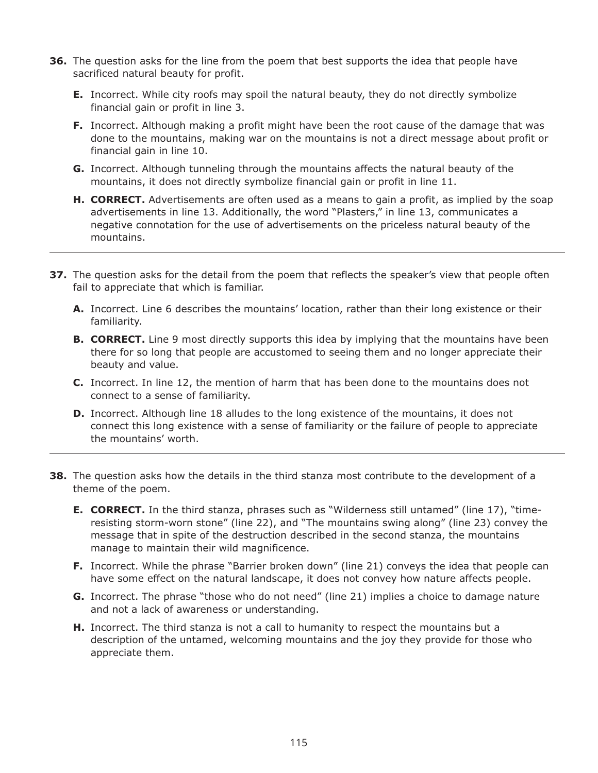- **36.** The question asks for the line from the poem that best supports the idea that people have sacrificed natural beauty for profit.
	- **E.** Incorrect. While city roofs may spoil the natural beauty, they do not directly symbolize financial gain or profit in line 3.
	- **F.** Incorrect. Although making a profit might have been the root cause of the damage that was done to the mountains, making war on the mountains is not a direct message about profit or financial gain in line 10.
	- **G.** Incorrect. Although tunneling through the mountains affects the natural beauty of the mountains, it does not directly symbolize financial gain or profit in line 11.
	- **H. CORRECT.** Advertisements are often used as a means to gain a profit, as implied by the soap advertisements in line 13. Additionally, the word "Plasters," in line 13, communicates a negative connotation for the use of advertisements on the priceless natural beauty of the mountains.
- **37.** The question asks for the detail from the poem that reflects the speaker's view that people often fail to appreciate that which is familiar.
	- **A.** Incorrect. Line 6 describes the mountains' location, rather than their long existence or their familiarity.
	- **B. CORRECT.** Line 9 most directly supports this idea by implying that the mountains have been there for so long that people are accustomed to seeing them and no longer appreciate their beauty and value.
	- **C.** Incorrect. In line 12, the mention of harm that has been done to the mountains does not connect to a sense of familiarity.
	- **D.** Incorrect. Although line 18 alludes to the long existence of the mountains, it does not connect this long existence with a sense of familiarity or the failure of people to appreciate the mountains' worth.
- **38.** The question asks how the details in the third stanza most contribute to the development of a theme of the poem.
	- **E. CORRECT.** In the third stanza, phrases such as "Wilderness still untamed" (line 17), "timeresisting storm-worn stone" (line 22), and "The mountains swing along" (line 23) convey the message that in spite of the destruction described in the second stanza, the mountains manage to maintain their wild magnificence.
	- **F.** Incorrect. While the phrase "Barrier broken down" (line 21) conveys the idea that people can have some effect on the natural landscape, it does not convey how nature affects people.
	- **G.** Incorrect. The phrase "those who do not need" (line 21) implies a choice to damage nature and not a lack of awareness or understanding.
	- **H.** Incorrect. The third stanza is not a call to humanity to respect the mountains but a description of the untamed, welcoming mountains and the joy they provide for those who appreciate them.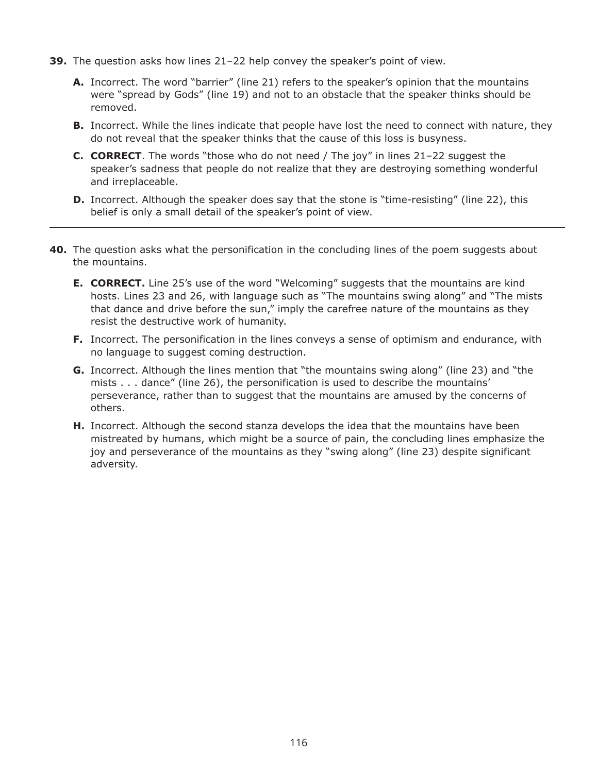- **39.** The question asks how lines 21–22 help convey the speaker's point of view.
	- **A.** Incorrect. The word "barrier" (line 21) refers to the speaker's opinion that the mountains were "spread by Gods" (line 19) and not to an obstacle that the speaker thinks should be removed.
	- **B.** Incorrect. While the lines indicate that people have lost the need to connect with nature, they do not reveal that the speaker thinks that the cause of this loss is busyness.
	- **C. CORRECT**. The words "those who do not need / The joy" in lines 21–22 suggest the speaker's sadness that people do not realize that they are destroying something wonderful and irreplaceable.
	- **D.** Incorrect. Although the speaker does say that the stone is "time-resisting" (line 22), this belief is only a small detail of the speaker's point of view.
- **40.** The question asks what the personification in the concluding lines of the poem suggests about the mountains.
	- **E. CORRECT.** Line 25's use of the word "Welcoming" suggests that the mountains are kind hosts. Lines 23 and 26, with language such as "The mountains swing along" and "The mists that dance and drive before the sun," imply the carefree nature of the mountains as they resist the destructive work of humanity.
	- **F.** Incorrect. The personification in the lines conveys a sense of optimism and endurance, with no language to suggest coming destruction.
	- **G.** Incorrect. Although the lines mention that "the mountains swing along" (line 23) and "the mists . . . dance" (line 26), the personification is used to describe the mountains' perseverance, rather than to suggest that the mountains are amused by the concerns of others.
	- **H.** Incorrect. Although the second stanza develops the idea that the mountains have been mistreated by humans, which might be a source of pain, the concluding lines emphasize the joy and perseverance of the mountains as they "swing along" (line 23) despite significant adversity.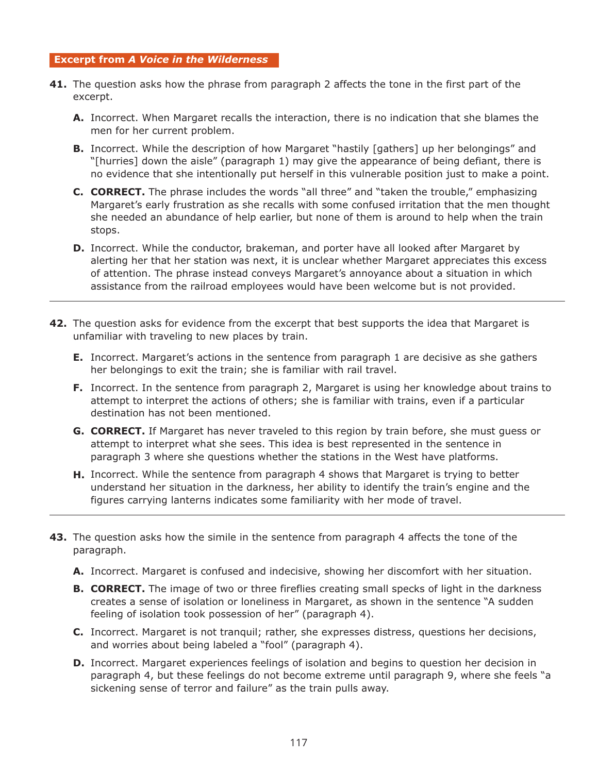#### **Excerpt from** *A Voice in the Wilderness*

- **41.** The question asks how the phrase from paragraph 2 affects the tone in the first part of the excerpt.
	- **A.** Incorrect. When Margaret recalls the interaction, there is no indication that she blames the men for her current problem.
	- **B.** Incorrect. While the description of how Margaret "hastily [gathers] up her belongings" and "[hurries] down the aisle" (paragraph 1) may give the appearance of being defiant, there is no evidence that she intentionally put herself in this vulnerable position just to make a point.
	- **C. CORRECT.** The phrase includes the words "all three" and "taken the trouble," emphasizing Margaret's early frustration as she recalls with some confused irritation that the men thought she needed an abundance of help earlier, but none of them is around to help when the train stops.
	- **D.** Incorrect. While the conductor, brakeman, and porter have all looked after Margaret by alerting her that her station was next, it is unclear whether Margaret appreciates this excess of attention. The phrase instead conveys Margaret's annoyance about a situation in which assistance from the railroad employees would have been welcome but is not provided.
- **42.** The question asks for evidence from the excerpt that best supports the idea that Margaret is unfamiliar with traveling to new places by train.
	- **E.** Incorrect. Margaret's actions in the sentence from paragraph 1 are decisive as she gathers her belongings to exit the train; she is familiar with rail travel.
	- **F.** Incorrect. In the sentence from paragraph 2, Margaret is using her knowledge about trains to attempt to interpret the actions of others; she is familiar with trains, even if a particular destination has not been mentioned.
	- **G. CORRECT.** If Margaret has never traveled to this region by train before, she must guess or attempt to interpret what she sees. This idea is best represented in the sentence in paragraph 3 where she questions whether the stations in the West have platforms.
	- **H.** Incorrect. While the sentence from paragraph 4 shows that Margaret is trying to better understand her situation in the darkness, her ability to identify the train's engine and the figures carrying lanterns indicates some familiarity with her mode of travel.
- **43.** The question asks how the simile in the sentence from paragraph 4 affects the tone of the paragraph.
	- **A.** Incorrect. Margaret is confused and indecisive, showing her discomfort with her situation.
	- **B. CORRECT.** The image of two or three fireflies creating small specks of light in the darkness creates a sense of isolation or loneliness in Margaret, as shown in the sentence "A sudden feeling of isolation took possession of her" (paragraph 4).
	- **C.** Incorrect. Margaret is not tranquil; rather, she expresses distress, questions her decisions, and worries about being labeled a "fool" (paragraph 4).
	- **D.** Incorrect. Margaret experiences feelings of isolation and begins to question her decision in paragraph 4, but these feelings do not become extreme until paragraph 9, where she feels "a sickening sense of terror and failure" as the train pulls away.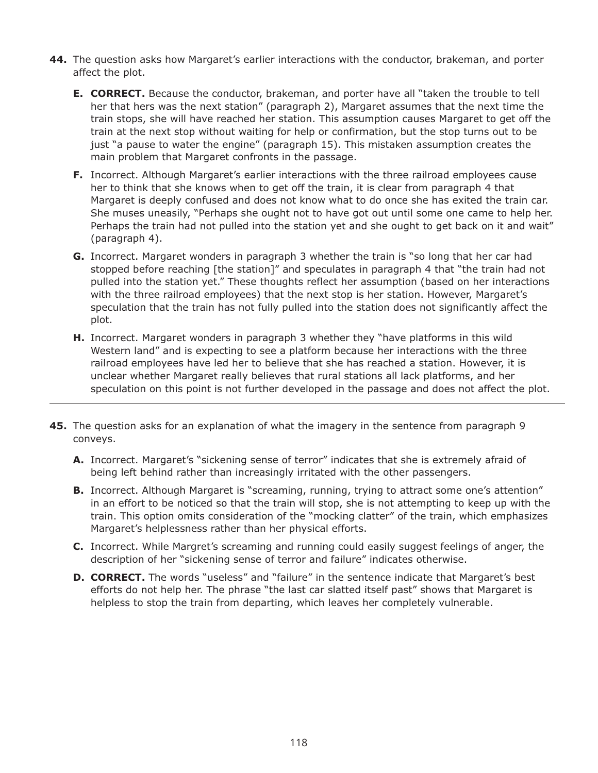- **44.** The question asks how Margaret's earlier interactions with the conductor, brakeman, and porter affect the plot.
	- **E. CORRECT.** Because the conductor, brakeman, and porter have all "taken the trouble to tell her that hers was the next station" (paragraph 2), Margaret assumes that the next time the train stops, she will have reached her station. This assumption causes Margaret to get off the train at the next stop without waiting for help or confirmation, but the stop turns out to be just "a pause to water the engine" (paragraph 15). This mistaken assumption creates the main problem that Margaret confronts in the passage.
	- **F.** Incorrect. Although Margaret's earlier interactions with the three railroad employees cause her to think that she knows when to get off the train, it is clear from paragraph 4 that Margaret is deeply confused and does not know what to do once she has exited the train car. She muses uneasily, "Perhaps she ought not to have got out until some one came to help her. Perhaps the train had not pulled into the station yet and she ought to get back on it and wait" (paragraph 4).
	- **G.** Incorrect. Margaret wonders in paragraph 3 whether the train is "so long that her car had stopped before reaching [the station]" and speculates in paragraph 4 that "the train had not pulled into the station yet." These thoughts reflect her assumption (based on her interactions with the three railroad employees) that the next stop is her station. However, Margaret's speculation that the train has not fully pulled into the station does not significantly affect the plot.
	- **H.** Incorrect. Margaret wonders in paragraph 3 whether they "have platforms in this wild Western land" and is expecting to see a platform because her interactions with the three railroad employees have led her to believe that she has reached a station. However, it is unclear whether Margaret really believes that rural stations all lack platforms, and her speculation on this point is not further developed in the passage and does not affect the plot.
- **45.** The question asks for an explanation of what the imagery in the sentence from paragraph 9 conveys.
	- **A.** Incorrect. Margaret's "sickening sense of terror" indicates that she is extremely afraid of being left behind rather than increasingly irritated with the other passengers.
	- **B.** Incorrect. Although Margaret is "screaming, running, trying to attract some one's attention" in an effort to be noticed so that the train will stop, she is not attempting to keep up with the train. This option omits consideration of the "mocking clatter" of the train, which emphasizes Margaret's helplessness rather than her physical efforts.
	- **C.** Incorrect. While Margret's screaming and running could easily suggest feelings of anger, the description of her "sickening sense of terror and failure" indicates otherwise.
	- **D. CORRECT.** The words "useless" and "failure" in the sentence indicate that Margaret's best efforts do not help her. The phrase "the last car slatted itself past" shows that Margaret is helpless to stop the train from departing, which leaves her completely vulnerable.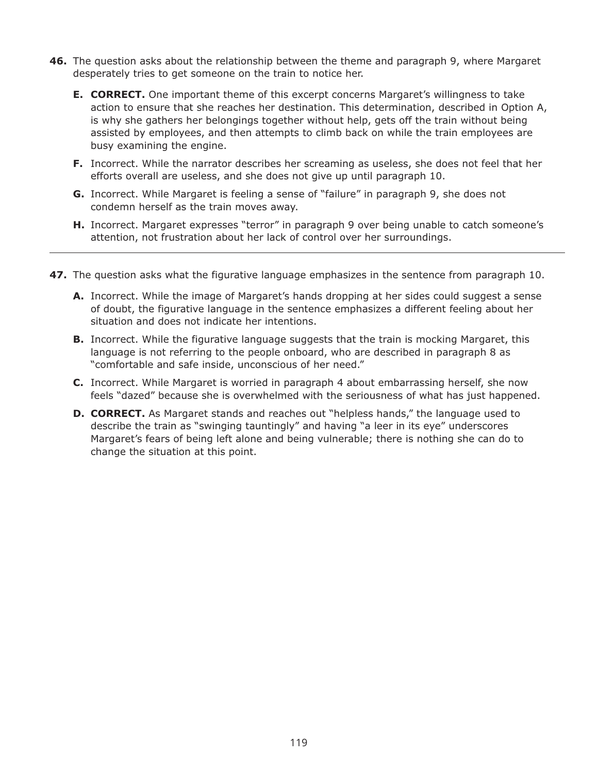- **46.** The question asks about the relationship between the theme and paragraph 9, where Margaret desperately tries to get someone on the train to notice her.
	- **E. CORRECT.** One important theme of this excerpt concerns Margaret's willingness to take action to ensure that she reaches her destination. This determination, described in Option A, is why she gathers her belongings together without help, gets off the train without being assisted by employees, and then attempts to climb back on while the train employees are busy examining the engine.
	- **F.** Incorrect. While the narrator describes her screaming as useless, she does not feel that her efforts overall are useless, and she does not give up until paragraph 10.
	- **G.** Incorrect. While Margaret is feeling a sense of "failure" in paragraph 9, she does not condemn herself as the train moves away.
	- **H.** Incorrect. Margaret expresses "terror" in paragraph 9 over being unable to catch someone's attention, not frustration about her lack of control over her surroundings.
- **47.** The question asks what the figurative language emphasizes in the sentence from paragraph 10.
	- **A.** Incorrect. While the image of Margaret's hands dropping at her sides could suggest a sense of doubt, the figurative language in the sentence emphasizes a different feeling about her situation and does not indicate her intentions.
	- **B.** Incorrect. While the figurative language suggests that the train is mocking Margaret, this language is not referring to the people onboard, who are described in paragraph 8 as "comfortable and safe inside, unconscious of her need."
	- **C.** Incorrect. While Margaret is worried in paragraph 4 about embarrassing herself, she now feels "dazed" because she is overwhelmed with the seriousness of what has just happened.
	- **D. CORRECT.** As Margaret stands and reaches out "helpless hands," the language used to describe the train as "swinging tauntingly" and having "a leer in its eye" underscores Margaret's fears of being left alone and being vulnerable; there is nothing she can do to change the situation at this point.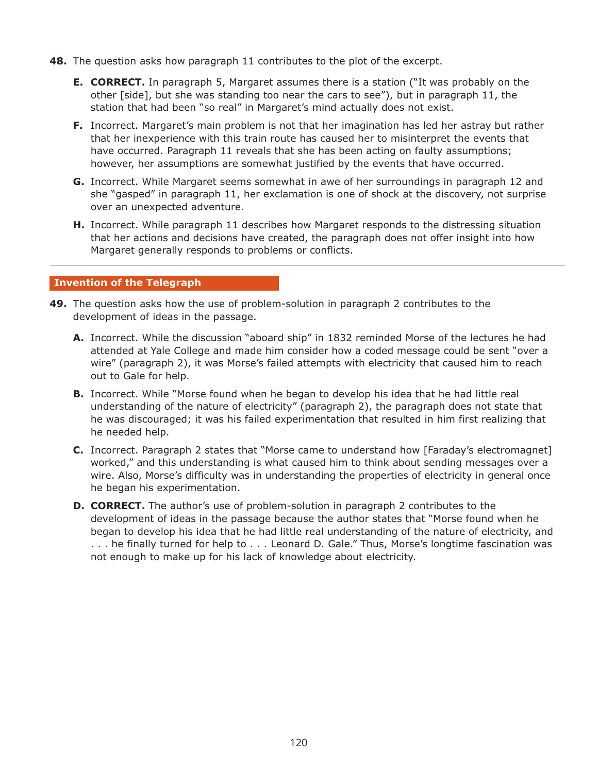- **48.** The question asks how paragraph 11 contributes to the plot of the excerpt.
	- **E. CORRECT.** In paragraph 5, Margaret assumes there is a station ("It was probably on the other [side], but she was standing too near the cars to see"), but in paragraph 11, the station that had been "so real" in Margaret's mind actually does not exist.
	- **F.** Incorrect. Margaret's main problem is not that her imagination has led her astray but rather that her inexperience with this train route has caused her to misinterpret the events that have occurred. Paragraph 11 reveals that she has been acting on faulty assumptions; however, her assumptions are somewhat justified by the events that have occurred.
	- **G.** Incorrect. While Margaret seems somewhat in awe of her surroundings in paragraph 12 and she "gasped" in paragraph 11, her exclamation is one of shock at the discovery, not surprise over an unexpected adventure.
	- **H.** Incorrect. While paragraph 11 describes how Margaret responds to the distressing situation that her actions and decisions have created, the paragraph does not offer insight into how Margaret generally responds to problems or conflicts.

#### **Invention of the Telegraph**

- **49.** The question asks how the use of problem-solution in paragraph 2 contributes to the development of ideas in the passage.
	- **A.** Incorrect. While the discussion "aboard ship" in 1832 reminded Morse of the lectures he had attended at Yale College and made him consider how a coded message could be sent "over a wire" (paragraph 2), it was Morse's failed attempts with electricity that caused him to reach out to Gale for help.
	- **B.** Incorrect. While "Morse found when he began to develop his idea that he had little real understanding of the nature of electricity" (paragraph 2), the paragraph does not state that he was discouraged; it was his failed experimentation that resulted in him first realizing that he needed help.
	- **C.** Incorrect. Paragraph 2 states that "Morse came to understand how [Faraday's electromagnet] worked," and this understanding is what caused him to think about sending messages over a wire. Also, Morse's difficulty was in understanding the properties of electricity in general once he began his experimentation.
	- **D. CORRECT.** The author's use of problem-solution in paragraph 2 contributes to the development of ideas in the passage because the author states that "Morse found when he began to develop his idea that he had little real understanding of the nature of electricity, and . . . he finally turned for help to . . . Leonard D. Gale." Thus, Morse's longtime fascination was not enough to make up for his lack of knowledge about electricity.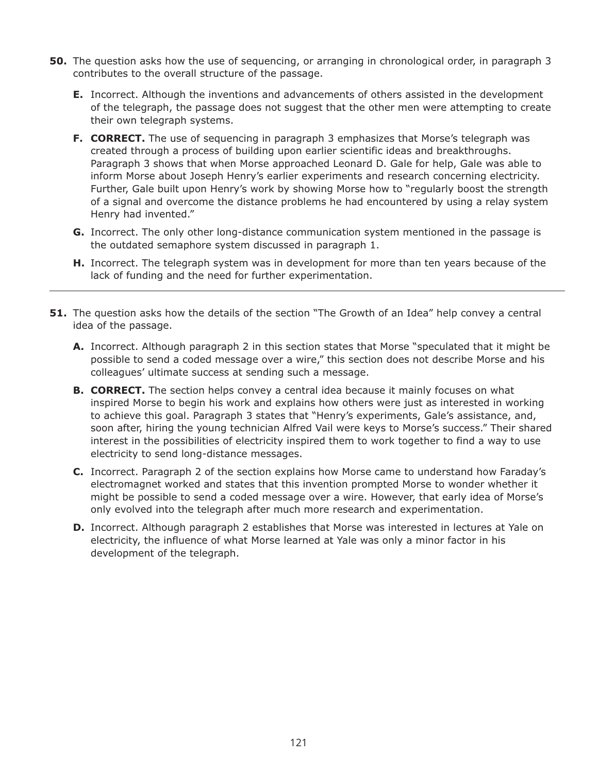- **50.** The question asks how the use of sequencing, or arranging in chronological order, in paragraph 3 contributes to the overall structure of the passage.
	- **E.** Incorrect. Although the inventions and advancements of others assisted in the development of the telegraph, the passage does not suggest that the other men were attempting to create their own telegraph systems.
	- **F. CORRECT.** The use of sequencing in paragraph 3 emphasizes that Morse's telegraph was created through a process of building upon earlier scientific ideas and breakthroughs. Paragraph 3 shows that when Morse approached Leonard D. Gale for help, Gale was able to inform Morse about Joseph Henry's earlier experiments and research concerning electricity. Further, Gale built upon Henry's work by showing Morse how to "regularly boost the strength of a signal and overcome the distance problems he had encountered by using a relay system Henry had invented."
	- **G.** Incorrect. The only other long-distance communication system mentioned in the passage is the outdated semaphore system discussed in paragraph 1.
	- **H.** Incorrect. The telegraph system was in development for more than ten years because of the lack of funding and the need for further experimentation.
- **51.** The question asks how the details of the section "The Growth of an Idea" help convey a central idea of the passage.
	- **A.** Incorrect. Although paragraph 2 in this section states that Morse "speculated that it might be possible to send a coded message over a wire," this section does not describe Morse and his colleagues' ultimate success at sending such a message.
	- **B. CORRECT.** The section helps convey a central idea because it mainly focuses on what inspired Morse to begin his work and explains how others were just as interested in working to achieve this goal. Paragraph 3 states that "Henry's experiments, Gale's assistance, and, soon after, hiring the young technician Alfred Vail were keys to Morse's success." Their shared interest in the possibilities of electricity inspired them to work together to find a way to use electricity to send long-distance messages.
	- **C.** Incorrect. Paragraph 2 of the section explains how Morse came to understand how Faraday's electromagnet worked and states that this invention prompted Morse to wonder whether it might be possible to send a coded message over a wire. However, that early idea of Morse's only evolved into the telegraph after much more research and experimentation.
	- **D.** Incorrect. Although paragraph 2 establishes that Morse was interested in lectures at Yale on electricity, the influence of what Morse learned at Yale was only a minor factor in his development of the telegraph.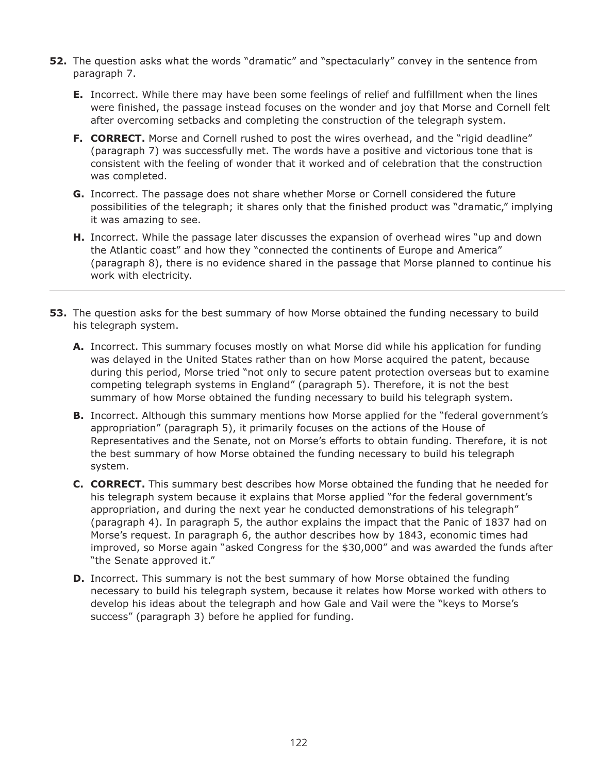- **52.** The question asks what the words "dramatic" and "spectacularly" convey in the sentence from paragraph 7.
	- **E.** Incorrect. While there may have been some feelings of relief and fulfillment when the lines were finished, the passage instead focuses on the wonder and joy that Morse and Cornell felt after overcoming setbacks and completing the construction of the telegraph system.
	- **F. CORRECT.** Morse and Cornell rushed to post the wires overhead, and the "rigid deadline" (paragraph 7) was successfully met. The words have a positive and victorious tone that is consistent with the feeling of wonder that it worked and of celebration that the construction was completed.
	- **G.** Incorrect. The passage does not share whether Morse or Cornell considered the future possibilities of the telegraph; it shares only that the finished product was "dramatic," implying it was amazing to see.
	- **H.** Incorrect. While the passage later discusses the expansion of overhead wires "up and down the Atlantic coast" and how they "connected the continents of Europe and America" (paragraph 8), there is no evidence shared in the passage that Morse planned to continue his work with electricity.
- **53.** The question asks for the best summary of how Morse obtained the funding necessary to build his telegraph system.
	- **A.** Incorrect. This summary focuses mostly on what Morse did while his application for funding was delayed in the United States rather than on how Morse acquired the patent, because during this period, Morse tried "not only to secure patent protection overseas but to examine competing telegraph systems in England" (paragraph 5). Therefore, it is not the best summary of how Morse obtained the funding necessary to build his telegraph system.
	- **B.** Incorrect. Although this summary mentions how Morse applied for the "federal government's appropriation" (paragraph 5), it primarily focuses on the actions of the House of Representatives and the Senate, not on Morse's efforts to obtain funding. Therefore, it is not the best summary of how Morse obtained the funding necessary to build his telegraph system.
	- **C. CORRECT.** This summary best describes how Morse obtained the funding that he needed for his telegraph system because it explains that Morse applied "for the federal government's appropriation, and during the next year he conducted demonstrations of his telegraph" (paragraph 4). In paragraph 5, the author explains the impact that the Panic of 1837 had on Morse's request. In paragraph 6, the author describes how by 1843, economic times had improved, so Morse again "asked Congress for the \$30,000" and was awarded the funds after "the Senate approved it."
	- **D.** Incorrect. This summary is not the best summary of how Morse obtained the funding necessary to build his telegraph system, because it relates how Morse worked with others to develop his ideas about the telegraph and how Gale and Vail were the "keys to Morse's success" (paragraph 3) before he applied for funding.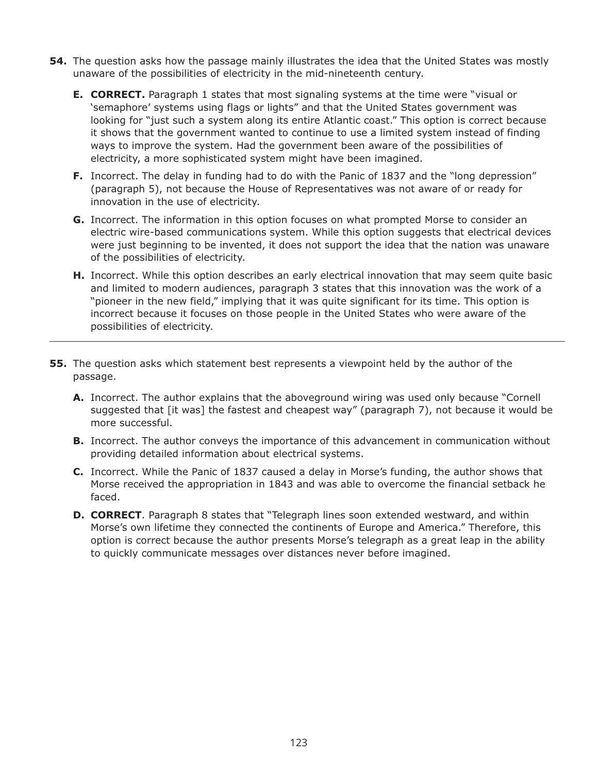- **54.** The question asks how the passage mainly illustrates the idea that the United States was mostly unaware of the possibilities of electricity in the mid-nineteenth century.
	- **E. CORRECT.** Paragraph 1 states that most signaling systems at the time were "visual or 'semaphore' systems using flags or lights" and that the United States government was looking for "just such a system along its entire Atlantic coast." This option is correct because it shows that the government wanted to continue to use a limited system instead of finding ways to improve the system. Had the government been aware of the possibilities of electricity, a more sophisticated system might have been imagined.
	- **F.** Incorrect. The delay in funding had to do with the Panic of 1837 and the "long depression" (paragraph 5), not because the House of Representatives was not aware of or ready for innovation in the use of electricity.
	- **G.** Incorrect. The information in this option focuses on what prompted Morse to consider an electric wire-based communications system. While this option suggests that electrical devices were just beginning to be invented, it does not support the idea that the nation was unaware of the possibilities of electricity.
	- **H.** Incorrect. While this option describes an early electrical innovation that may seem quite basic and limited to modern audiences, paragraph 3 states that this innovation was the work of a "pioneer in the new field," implying that it was quite significant for its time. This option is incorrect because it focuses on those people in the United States who were aware of the possibilities of electricity.
- **55.** The question asks which statement best represents a viewpoint held by the author of the passage.
	- **A.** Incorrect. The author explains that the aboveground wiring was used only because "Cornell suggested that [it was] the fastest and cheapest way" (paragraph 7), not because it would be more successful.
	- **B.** Incorrect. The author conveys the importance of this advancement in communication without providing detailed information about electrical systems.
	- **C.** Incorrect. While the Panic of 1837 caused a delay in Morse's funding, the author shows that Morse received the appropriation in 1843 and was able to overcome the financial setback he faced.
	- **D. CORRECT**. Paragraph 8 states that "Telegraph lines soon extended westward, and within Morse's own lifetime they connected the continents of Europe and America." Therefore, this option is correct because the author presents Morse's telegraph as a great leap in the ability to quickly communicate messages over distances never before imagined.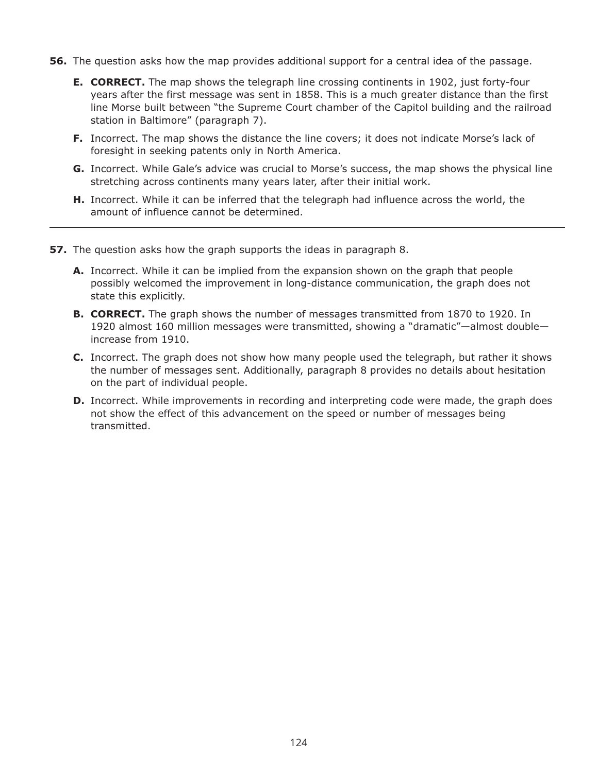- **56.** The question asks how the map provides additional support for a central idea of the passage.
	- **E. CORRECT.** The map shows the telegraph line crossing continents in 1902, just forty-four years after the first message was sent in 1858. This is a much greater distance than the first line Morse built between "the Supreme Court chamber of the Capitol building and the railroad station in Baltimore" (paragraph 7).
	- **F.** Incorrect. The map shows the distance the line covers; it does not indicate Morse's lack of foresight in seeking patents only in North America.
	- **G.** Incorrect. While Gale's advice was crucial to Morse's success, the map shows the physical line stretching across continents many years later, after their initial work.
	- **H.** Incorrect. While it can be inferred that the telegraph had influence across the world, the amount of influence cannot be determined.
- **57.** The question asks how the graph supports the ideas in paragraph 8.
	- **A.** Incorrect. While it can be implied from the expansion shown on the graph that people possibly welcomed the improvement in long-distance communication, the graph does not state this explicitly.
	- **B. CORRECT.** The graph shows the number of messages transmitted from 1870 to 1920. In 1920 almost 160 million messages were transmitted, showing a "dramatic"—almost double increase from 1910.
	- **C.** Incorrect. The graph does not show how many people used the telegraph, but rather it shows the number of messages sent. Additionally, paragraph 8 provides no details about hesitation on the part of individual people.
	- **D.** Incorrect. While improvements in recording and interpreting code were made, the graph does not show the effect of this advancement on the speed or number of messages being transmitted.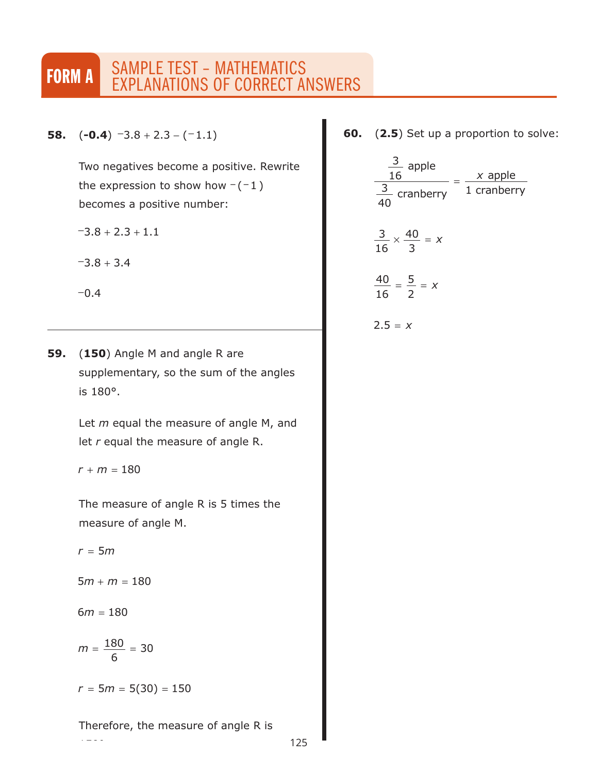# **FORM A SAMPLE TEST - MATHEMATICS** EXPLANATIONS OF CORRECT ANSWERS

**58.**  $(-0.4)$   $-3.8 + 2.3 - (-1.1)$ 

Two negatives become a positive. Rewrite the expression to show how  $-(-1)$ becomes a positive number:

 $-3.8 + 2.3 + 1.1$ 

 $-3.8 + 3.4$ 

 $-0.4$ 

**59.** (**150**) Angle M and angle R are supplementary, so the sum of the angles is 180°.

> Let *m* equal the measure of angle M, and let *r* equal the measure of angle R.

 $r + m = 180$ 

The measure of angle R is 5 times the measure of angle M.

 $r = 5m$ 

 $5m + m = 180$ 

 $6m = 180$ 

150°.

$$
m=\frac{180}{6}=30
$$

 $r = 5m = 5(30) = 150$ 

## Therefore, the measure of angle R is

**60.** (**2.5**) Set up a proportion to solve:

$$
\frac{\frac{3}{16} \text{ apple}}{\frac{3}{40} \text{ cranberry}} = \frac{x \text{ apple}}{1 \text{ cranberry}}
$$
\n
$$
\frac{3}{16} \times \frac{40}{3} = x
$$
\n
$$
\frac{40}{16} = \frac{5}{2} = x
$$
\n
$$
2.5 = x
$$

125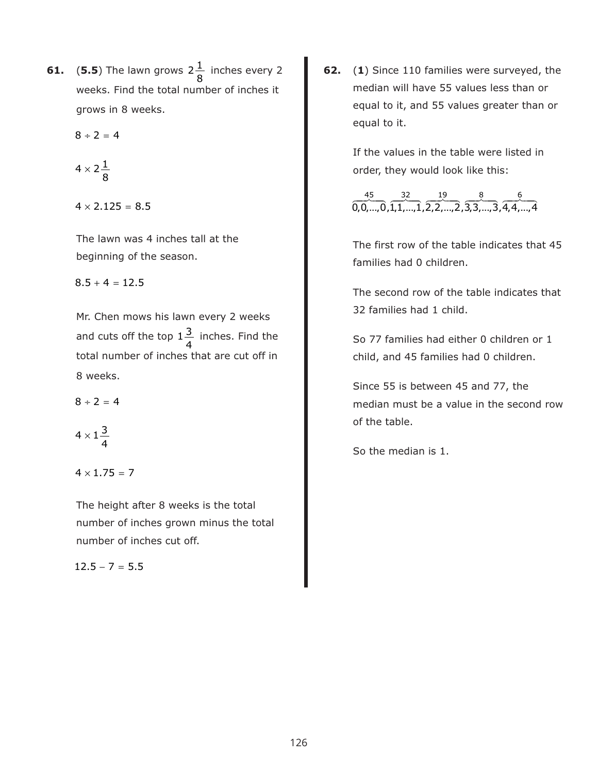**61.** (5.5) The lawn grows  $2\frac{1}{2}$  inches every 2 weeks. Find the total number of inches it grows in 8 weeks. 8

$$
8 \div 2 = 4
$$

$$
4\times 2\frac{1}{8}
$$

 $4 \times 2.125 = 8.5$ 

The lawn was 4 inches tall at the beginning of the season.

 $8.5 + 4 = 12.5$ 

Mr. Chen mows his lawn every 2 weeks and cuts off the top  $1\frac{3}{4}$  inches. Find the total number of inches that are cut off in 8 weeks. 4

 $8 \div 2 = 4$ 

$$
4\times 1\frac{3}{4}
$$

 $4 \times 1.75 = 7$ 

The height after 8 weeks is the total number of inches grown minus the total number of inches cut off.

 $12.5 - 7 = 5.5$ 

**62.** (**1**) Since 110 families were surveyed, the median will have 55 values less than or equal to it, and 55 values greater than or equal to it.

> If the values in the table were listed in order, they would look like this:

0,0,...,0,1,1,...,1,2,2,...,2,3,3,...,3,4,4,...,4  $-45$   $-32$   $-19$   $-8$   $-6$ 

The first row of the table indicates that 45 families had 0 children.

The second row of the table indicates that 32 families had 1 child.

So 77 families had either 0 children or 1 child, and 45 families had 0 children.

Since 55 is between 45 and 77, the median must be a value in the second row of the table.

So the median is 1.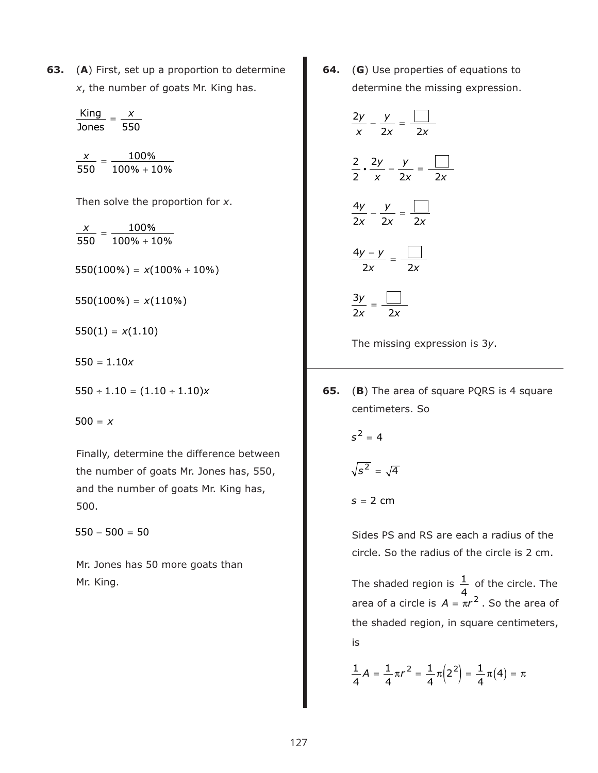**63.** (**A**) First, set up a proportion to determine *x*, the number of goats Mr. King has.

> $\frac{\text{King}}{\text{cos}^2} = \frac{x}{\text{cos}^2}$ Jones 550

 $\frac{x}{50} = \frac{100\%}{100\% + 10\%}$ 550 100  $100\% + 10$ 

Then solve the proportion for *x*.

 $\frac{x}{50} = \frac{100\%}{100\% + 10\%}$ 550 100  $100\% + 10$ 

 $550(100\%) = x(100\% + 10\%)$ 

- $550(100\%) = x(110\%)$
- $550(1) = x(1.10)$
- $550 = 1.10x$
- $550 \div 1.10 = (1.10 \div 1.10)x$

500 = *x*

Finally, determine the difference between the number of goats Mr. Jones has, 550, and the number of goats Mr. King has, 500.

 $550 - 500 = 50$ 

Mr. Jones has 50 more goats than Mr. King.

**64.** (**G**) Use properties of equations to determine the missing expression.

$$
\frac{2y}{x} - \frac{y}{2x} = \frac{1}{2x}
$$

$$
\frac{2}{2} \cdot \frac{2y}{x} - \frac{y}{2x} = \frac{1}{2x}
$$

$$
\frac{4y}{2x} - \frac{y}{2x} = \frac{1}{2x}
$$

$$
\frac{4y - y}{2x} = \frac{1}{2x}
$$

$$
\frac{3y}{2x} = \frac{1}{2x}
$$

The missing expression is 3*y*.

**65.** (**B**) The area of square PQRS is 4 square centimeters. So

 $s^2 = 4$ 

$$
\sqrt{s^2} = \sqrt{4}
$$

$$
s = 2 \, \text{cm}
$$

Sides PS and RS are each a radius of the circle. So the radius of the circle is 2 cm.

The shaded region is  $\frac{1}{\cdot}$  of the circle. The area of a circle is  $A = \pi r^2$  . So the area of the shaded region, in square centimeters, is 4

$$
\frac{1}{4}A = \frac{1}{4}\pi r^2 = \frac{1}{4}\pi \left(2^2\right) = \frac{1}{4}\pi \left(4\right) = \pi
$$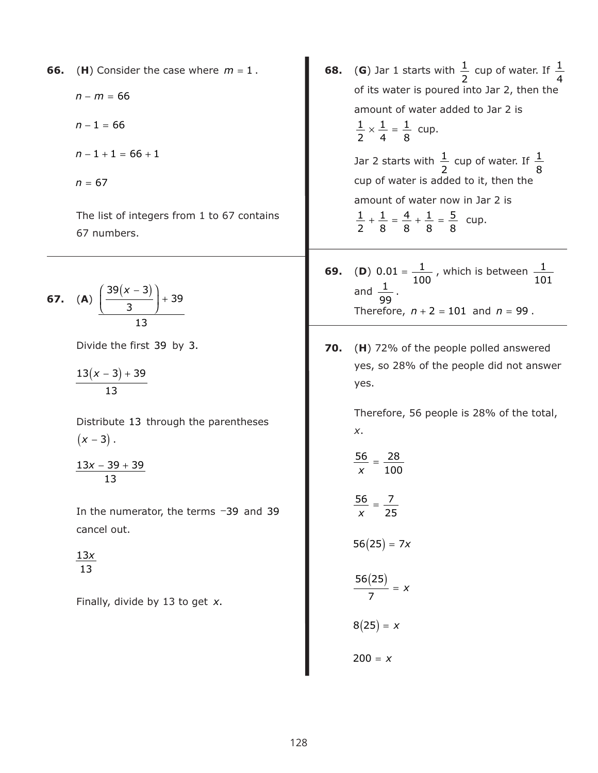- **66.** (**H**) Consider the case where  $m = 1$ .
	- *n* − *m* = 66
	- $n 1 = 66$
	- $n-1+1 = 66 + 1$
	- *n* = 67

The list of integers from 1 to 67 contains 67 numbers.

**67.** (**A**) 
$$
\frac{\left(\frac{39(x-3)}{3}\right) + 39}{13}
$$

Divide the first 39 by 3.

 $13(x - 3) + 39$ 13

Distribute 13 through the parentheses  $(x - 3)$  .

<u> $13x - 39 + 39$ </u> 13

In the numerator, the terms -39 and 39 cancel out.

13*x* 13

Finally, divide by 13 to get *x*.

- **68.** (G) Jar 1 starts with  $\frac{1}{x}$  cup of water. If of its water is poured into Jar 2, then the amount of water added to Jar 2 is  $\frac{1}{2} \times \frac{1}{4} = \frac{1}{2}$  cup. Jar 2 starts with  $\frac{1}{2}$  cup of water. If cup of water is added to it, then the amount of water now in Jar 2 is  $\frac{1}{2} + \frac{1}{2} = \frac{4}{3} + \frac{1}{3} = \frac{5}{3}$  cup. 2 1 4 2 1 4 1 8 2 1 8 2 1 8 4 8 1 8 5 8
- **69.** (**D**)  $0.01 = \frac{1}{100}$ , which is between and  $\frac{1}{\sqrt{2}}$ . Therefore,  $n + 2 = 101$  and  $n = 99$ . 100 1  $\frac{1}{1}$  100 101 99
- **70.** (**H**) 72% of the people polled answered yes, so 28% of the people did not answer yes.

Therefore, 56 people is 28% of the total, *x*.

$$
\frac{56}{x}=\frac{28}{100}
$$

$$
\frac{56}{x}=\frac{7}{25}
$$

$$
56(25)=7x
$$

$$
\frac{56(25)}{7} = x
$$

$$
8(25) = x
$$

$$
200 = x
$$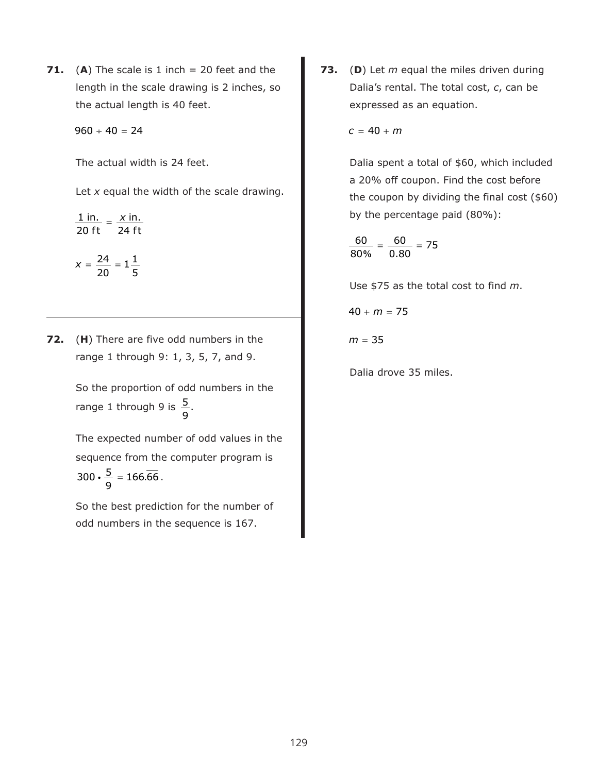**71.** (A) The scale is 1 inch  $= 20$  feet and the length in the scale drawing is 2 inches, so the actual length is 40 feet.

 $960 \div 40 = 24$ 

The actual width is 24 feet.

5

Let *x* equal the width of the scale drawing.

$$
\frac{1 \text{ in.}}{20 \text{ ft}} = \frac{x \text{ in.}}{24 \text{ ft}}
$$

$$
x = \frac{24}{12} = 1\frac{1}{12}
$$

20

**72.** (**H**) There are five odd numbers in the range 1 through 9: 1, 3, 5, 7, and 9.

> So the proportion of odd numbers in the range 1 through 9 is  $\frac{5}{3}$ 9 .

The expected number of odd values in the sequence from the computer program is  $300 \cdot \frac{5}{3} = 166.\overline{66}$ . 9  $\frac{1}{2}$  = 166.66

So the best prediction for the number of odd numbers in the sequence is 167.

**73.** (**D**) Let *m* equal the miles driven during Dalia's rental. The total cost, *c*, can be expressed as an equation.

 $c = 40 + m$ 

Dalia spent a total of \$60, which included a 20% off coupon. Find the cost before the coupon by dividing the final cost (\$60) by the percentage paid (80%):

$$
\frac{60}{80\%}=\frac{60}{0.80}=75
$$

Use \$75 as the total cost to find *m*.

$$
40+m=75
$$

*m* = 35

Dalia drove 35 miles.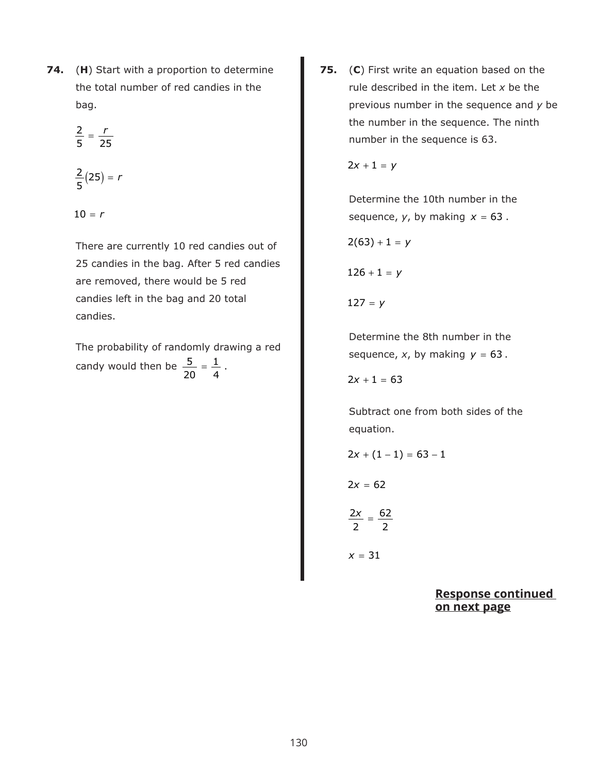**74.** (**H**) Start with a proportion to determine the total number of red candies in the bag.

$$
\frac{2}{5}=\frac{r}{25}
$$

$$
\frac{2}{5}(25)=r
$$

 $10 = r$ 

There are currently 10 red candies out of 25 candies in the bag. After 5 red candies are removed, there would be 5 red candies left in the bag and 20 total candies.

The probability of randomly drawing a red candy would then be  $\frac{5}{20} = \frac{1}{1}$ . 20 1 4

**75.** (**C**) First write an equation based on the rule described in the item. Let *x* be the previous number in the sequence and *y* be the number in the sequence. The ninth number in the sequence is 63.

 $2x + 1 = y$ 

Determine the 10th number in the sequence,  $y$ , by making  $x = 63$ .

$$
2(63)+1=y
$$

$$
126+1=y
$$

 $127 = y$ 

Determine the 8th number in the sequence,  $x$ , by making  $y = 63$ .

 $2x + 1 = 63$ 

Subtract one from both sides of the equation.

$$
2x + (1-1) = 63 - 1
$$

 $2x = 62$ 

$$
\frac{2x}{2}=\frac{62}{2}
$$

*x* = 31

**Response continued on next page**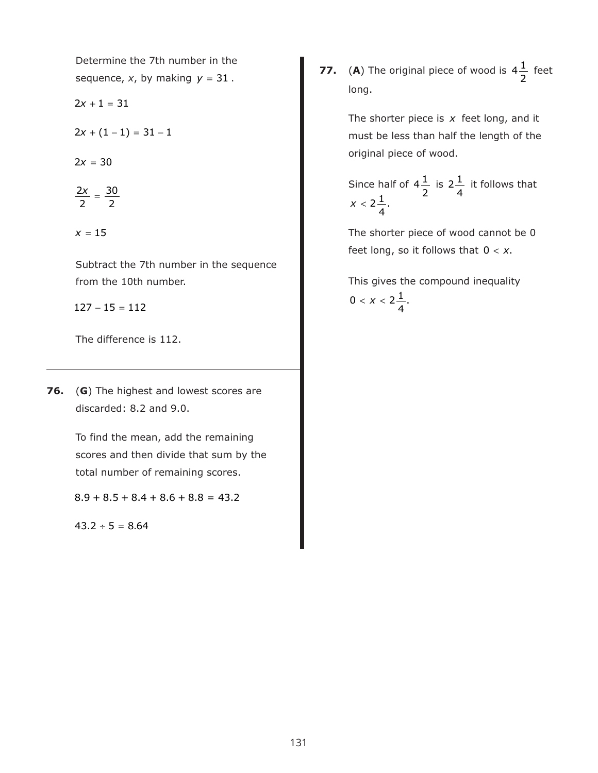Determine the 7th number in the sequence,  $x$ , by making  $y = 31$ .

 $2x + 1 = 31$ 

 $2x + (1 - 1) = 31 - 1$ 

 $2x = 30$ 

$$
\frac{2x}{2}=\frac{30}{2}
$$

 $x = 15$ 

Subtract the 7th number in the sequence from the 10th number.

 $127 - 15 = 112$ 

The difference is 112.

**76.** (**G**) The highest and lowest scores are discarded: 8.2 and 9.0.

> To find the mean, add the remaining scores and then divide that sum by the total number of remaining scores.

 $8.9 + 8.5 + 8.4 + 8.6 + 8.8 = 43.2$ 

 $43.2 \div 5 = 8.64$ 

**77.** (A) The original piece of wood is  $4\frac{1}{5}$  feet long. 2

> The shorter piece is x feet long, and it must be less than half the length of the original piece of wood.

Since half of  $4\frac{1}{2}$  is  $2\frac{1}{4}$  it follows that 2  $2^{1/2}$ 4  $x < 2\frac{1}{4}$ 4 .

The shorter piece of wood cannot be 0 feet long, so it follows that  $0 < x$ .

This gives the compound inequality 0 <  $x < 2\frac{1}{x}$ 4 .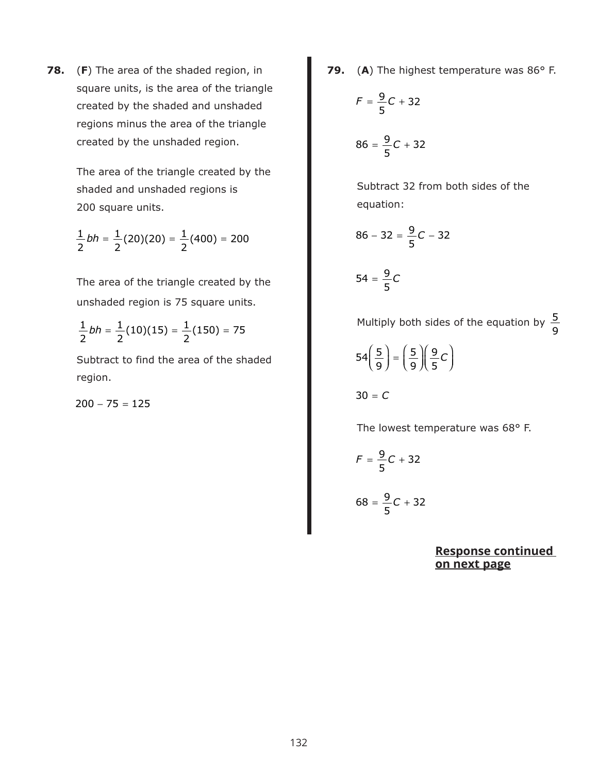**78.** (**F**) The area of the shaded region, in square units, is the area of the triangle created by the shaded and unshaded regions minus the area of the triangle created by the unshaded region.

> The area of the triangle created by the shaded and unshaded regions is 200 square units.

$$
\frac{1}{2}bh = \frac{1}{2}(20)(20) = \frac{1}{2}(400) = 200
$$

The area of the triangle created by the unshaded region is 75 square units.

$$
\frac{1}{2}bh = \frac{1}{2}(10)(15) = \frac{1}{2}(150) = 75
$$

Subtract to find the area of the shaded region.

 $200 - 75 = 125$ 

**79.** (**A**) The highest temperature was 86° F.

$$
F = \frac{9}{5}C + 32
$$

$$
86 = \frac{9}{5}C + 32
$$

Subtract 32 from both sides of the equation:

$$
86 - 32 = \frac{9}{5}C - 32
$$

$$
54 = \frac{9}{5}C
$$

Multiply both sides of the equation by  $\frac{5}{3}$ 9

$$
54\left(\frac{5}{9}\right) = \left(\frac{5}{9}\right)\left(\frac{9}{5}C\right)
$$

30 = *C*

The lowest temperature was 68° F.

$$
F = \frac{9}{5}C + 32
$$
  

$$
68 = \frac{9}{5}C + 32
$$

**Response continued on next page**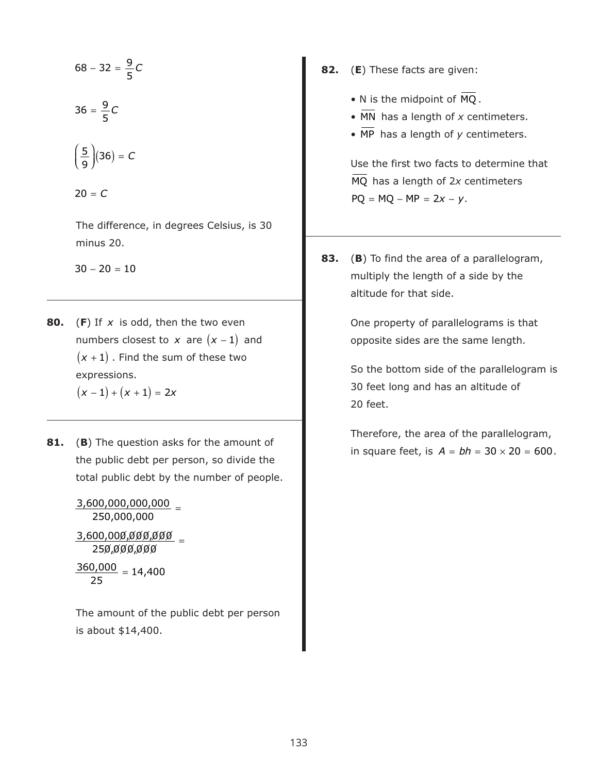$$
68 - 32 = \frac{9}{5}C
$$

$$
36 = \frac{9}{5}C
$$

$$
\left(\frac{5}{9}\right)(36) = C
$$

5

 $20 = C$ 

The difference, in degrees Celsius, is 30 minus 20.

 $30 - 20 = 10$ 

- **80.** (F) If x is odd, then the two even numbers closest to  $x$  are  $(x - 1)$  and  $(x + 1)$  . Find the sum of these two expressions.  $(x - 1) + (x + 1) = 2x$
- **81.** (**B**) The question asks for the amount of the public debt per person, so divide the total public debt by the number of people.

3,600,000,000,000 \_ 250,000,000 <u>3,600,000,000,000</u> 250,000,000  $\frac{360,000}{25}$  = 14,400

The amount of the public debt per person is about \$14,400.

- **82.** (**E**) These facts are given:
	- N is the midpoint of  $MQ$ .
	- MN has a length of *x* centimeters.
	- MP has a length of *y* centimeters.

Use the first two facts to determine that MQ has a length of 2x centimeters  $PQ = MQ - MP = 2x - y.$ 

**83.** (**B**) To find the area of a parallelogram, multiply the length of a side by the altitude for that side.

> One property of parallelograms is that opposite sides are the same length.

So the bottom side of the parallelogram is 30 feet long and has an altitude of 20 feet.

Therefore, the area of the parallelogram, in square feet, is  $A = bh = 30 \times 20 = 600$ .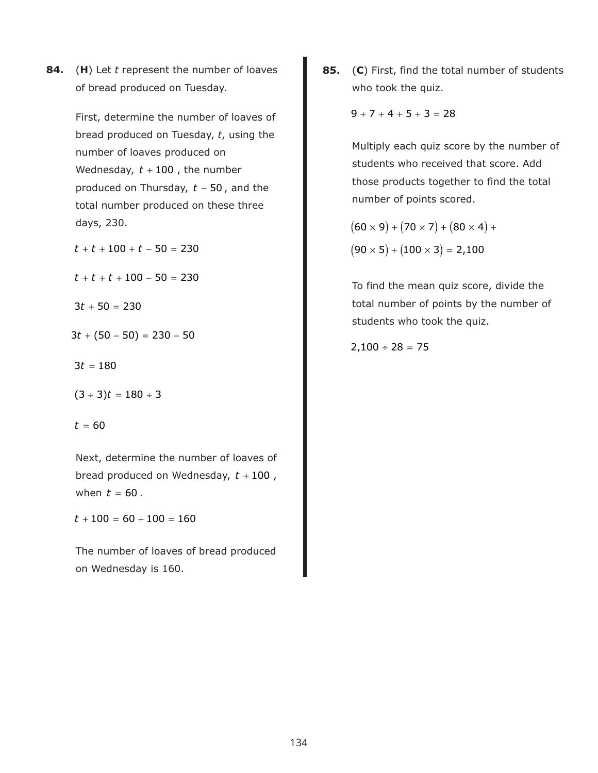**84.** (**H**) Let *t* represent the number of loaves of bread produced on Tuesday.

> First, determine the number of loaves of bread produced on Tuesday, *t*, using the number of loaves produced on Wednesday,  $t + 100$  , the number produced on Thursday, t – 50, and the total number produced on these three days, 230.

 $t + t + 100 + t - 50 = 230$ 

 $t + t + t + 100 - 50 = 230$ 

 $3t + 50 = 230$ 

 $3t + (50 - 50) = 230 - 50$ 

- $3t = 180$
- $(3 \div 3)t = 180 \div 3$
- $t = 60$

Next, determine the number of loaves of bread produced on Wednesday,  $t + 100$  , when  $t = 60$  .

 $t + 100 = 60 + 100 = 160$ 

The number of loaves of bread produced on Wednesday is 160.

**85.** (**C**) First, find the total number of students who took the quiz.

 $9 + 7 + 4 + 5 + 3 = 28$ 

Multiply each quiz score by the number of students who received that score. Add those products together to find the total number of points scored.

 $(60 \times 9) + (70 \times 7) + (80 \times 4) +$  $(90 \times 5) + (100 \times 3) = 2,100$ 

To find the mean quiz score, divide the total number of points by the number of students who took the quiz.

 $2,100 \div 28 = 75$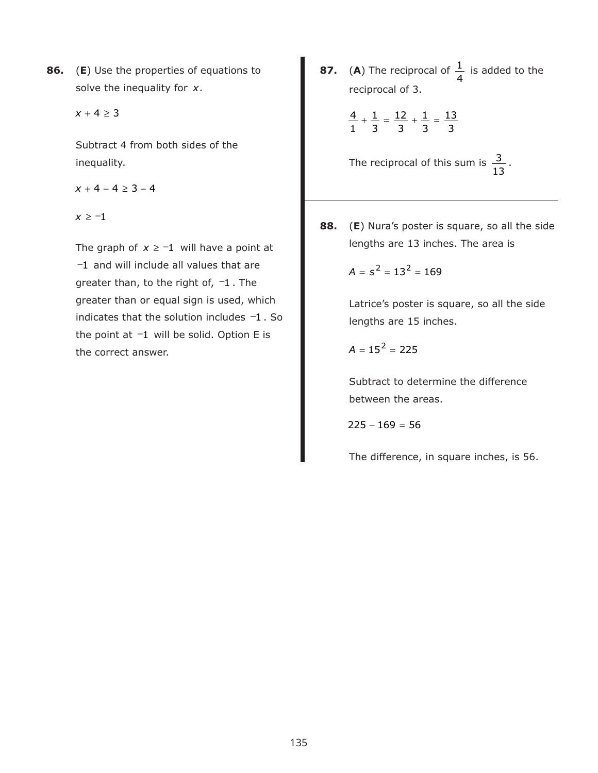**86.** (**E**) Use the properties of equations to solve the inequality for x.

 $x + 4 \ge 3$ 

Subtract 4 from both sides of the inequality.

 $x + 4 - 4 \ge 3 - 4$ 

*x* ≥ −1

The graph of  $x \ge -1$  will have a point at −1 and will include all values that are greater than, to the right of,  $-1$ . The greater than or equal sign is used, which indicates that the solution includes  $-1$ . So the point at  $-1$  will be solid. Option E is the correct answer.

**87.** (A) The reciprocal of  $\frac{1}{1}$  is added to the reciprocal of 3. 4

$$
\frac{4}{1} + \frac{1}{3} = \frac{12}{3} + \frac{1}{3} = \frac{13}{3}
$$

The reciprocal of this sum is  $\frac{3}{12}$ . 13

**88.** (**E**) Nura's poster is square, so all the side lengths are 13 inches. The area is

$$
A = s^2 = 13^2 = 169
$$

Latrice's poster is square, so all the side lengths are 15 inches.

$$
A = 15^2 = 225
$$

Subtract to determine the difference between the areas.

$$
225 - 169 = 56
$$

The difference, in square inches, is 56.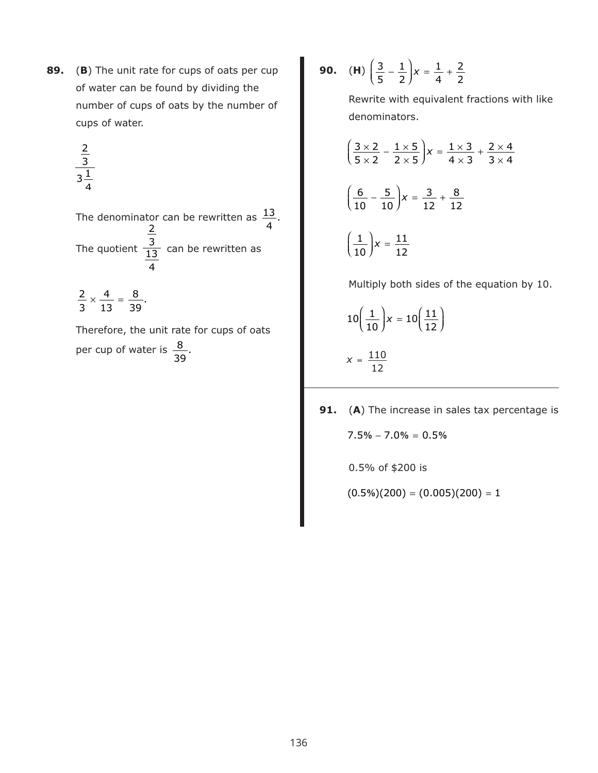**89.** (**B**) The unit rate for cups of oats per cup of water can be found by dividing the number of cups of oats by the number of cups of water.

$$
\frac{\frac{2}{3}}{3\frac{1}{4}}
$$

The denominator can be rewritten as  $\frac{13}{4}$ . The quotient  $\frac{3}{13}$  can be rewritten as 13 4

 $\frac{2}{2} \times \frac{4}{12}$  = 3 4 13  $\frac{8}{39}$ .

Therefore, the unit rate for cups of oats per cup of water is  $\frac{8}{39}$ .

**90.** (**H**)  $\left(\frac{3}{5} - \frac{1}{5}\right)$ ⎞  $\left(\frac{3}{5} - \frac{1}{2}\right)$ x =  $\frac{1}{4}$  + 1 2 1 4 2 2

> Rewrite with equivalent fractions with like denominators.

$$
\left(\frac{3\times2}{5\times2} - \frac{1\times5}{2\times5}\right) x = \frac{1\times3}{4\times3} + \frac{2\times4}{3\times4}
$$

$$
\left(\frac{6}{10} - \frac{5}{10}\right) x = \frac{3}{12} + \frac{8}{12}
$$

$$
\left(\frac{1}{10}\right) x = \frac{11}{12}
$$

Multiply both sides of the equation by 10.

$$
10\left(\frac{1}{10}\right) x = 10\left(\frac{11}{12}\right)
$$

$$
x = \frac{110}{12}
$$

**91.** (**A**) The increase in sales tax percentage is

 $7.5\% - 7.0\% = 0.5\%$ 

0.5% of \$200 is

 $(0.5\%)$ (200) =  $(0.005)(200) = 1$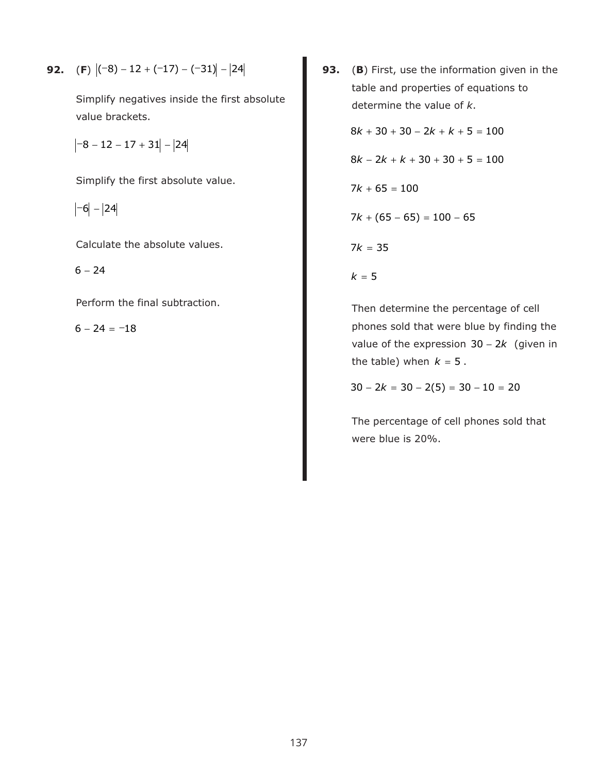**92.** (F) 
$$
|-8)-12+(-17)-(-31)|-|24|
$$

Simplify negatives inside the first absolute value brackets.

 $\begin{vmatrix} -8 & -12 & -17 & +31 \end{vmatrix}$  - |24|

Simplify the first absolute value.

 $|-6|$  - 24

Calculate the absolute values.

 $6 - 24$ 

Perform the final subtraction.

 $6 - 24 = -18$ 

**93.** (**B**) First, use the information given in the table and properties of equations to determine the value of *k*.

> $8k + 30 + 30 - 2k + k + 5 = 100$  $8k - 2k + k + 30 + 30 + 5 = 100$  $7k + 65 = 100$  $7k + (65 - 65) = 100 - 65$  $7k = 35$  $k = 5$

Then determine the percentage of cell phones sold that were blue by finding the value of the expression  $30 - 2k$  (given in the table) when  $k = 5$ .

 $30 - 2k = 30 - 2(5) = 30 - 10 = 20$ 

The percentage of cell phones sold that were blue is 20%.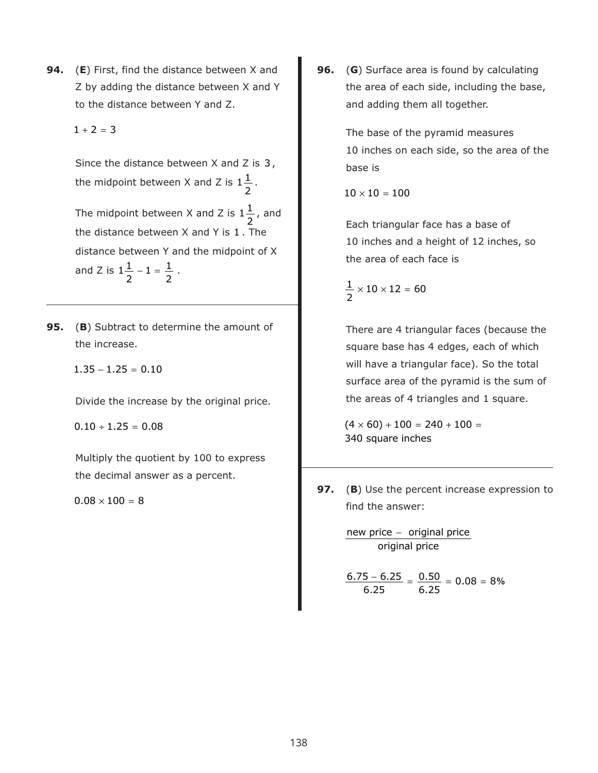- **94.** (**E**) First, find the distance between X and Z by adding the distance between X and Y to the distance between Y and Z.
	- $1 + 2 = 3$

Since the distance between  $X$  and  $Z$  is  $3$ , the midpoint between X and Z is  $1\frac{1}{2}$ . 2

The midpoint between X and Z is  $1\frac{1}{2}$ , and the distance between  $X$  and  $Y$  is  $1$  . The distance between Y and the midpoint of X and Z is  $1\frac{1}{2} - 1 = \frac{1}{2}$ . 2 2  $1 = \frac{1}{1}$ 2

- **95.** (**B**) Subtract to determine the amount of the increase.
	- $1.35 1.25 = 0.10$

Divide the increase by the original price.

 $0.10 \div 1.25 = 0.08$ 

Multiply the quotient by 100 to express the decimal answer as a percent.

 $0.08 \times 100 = 8$ 

**96.** (**G**) Surface area is found by calculating the area of each side, including the base, and adding them all together.

> The base of the pyramid measures 10 inches on each side, so the area of the base is

 $10 \times 10 = 100$ 

Each triangular face has a base of 10 inches and a height of 12 inches, so the area of each face is

$$
\frac{1}{2} \times 10 \times 12 = 60
$$

There are 4 triangular faces (because the square base has 4 edges, each of which will have a triangular face). So the total surface area of the pyramid is the sum of the areas of 4 triangles and 1 square.

 $(4 \times 60) + 100 = 240 + 100 =$ 340 square inches

**97.** (**B**) Use the percent increase expression to find the answer:

> new price − original price original price

$$
\frac{6.75-6.25}{6.25}=\frac{0.50}{6.25}=0.08=8\%
$$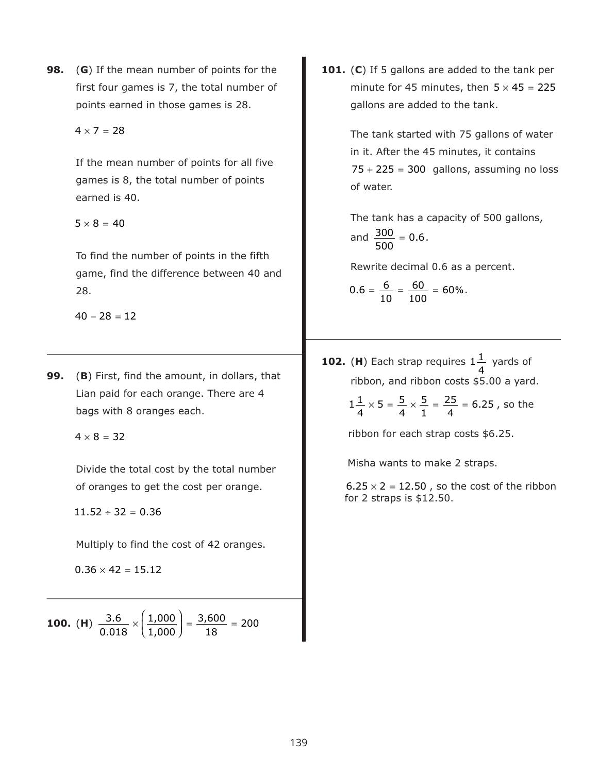- **98.** (**G**) If the mean number of points for the first four games is 7, the total number of points earned in those games is 28.
	- $4 \times 7 = 28$

If the mean number of points for all five games is 8, the total number of points earned is 40.

 $5 \times 8 = 40$ 

To find the number of points in the fifth game, find the difference between 40 and 28.

 $40 - 28 = 12$ 

**99.** (**B**) First, find the amount, in dollars, that Lian paid for each orange. There are 4 bags with 8 oranges each.

 $4 \times 8 = 32$ 

Divide the total cost by the total number of oranges to get the cost per orange.

 $11.52 \div 32 = 0.36$ 

Multiply to find the cost of 42 oranges.

 $0.36 \times 42 = 15.12$ 

**100.** (**H**)  $\frac{9.0}{2.34} \times$ ⎛  $\overline{\mathcal{N}}$ ⎞  $\frac{3.6}{0.018}$   $\times$   $\left(\frac{1,000}{1,000}\right)$  =  $\frac{3,600}{18}$  = 1,000 1,000 3,600 18 200 **101.** (**C**) If 5 gallons are added to the tank per minute for 45 minutes, then  $5 \times 45 = 225$ gallons are added to the tank.

> The tank started with 75 gallons of water in it. After the 45 minutes, it contains  $75 + 225 = 300$  gallons, assuming no loss of water.

The tank has a capacity of 500 gallons, and  $\frac{300}{200} = 0.6$ . 500 0.6

Rewrite decimal 0.6 as a percent.

$$
0.6 = \frac{6}{10} = \frac{60}{100} = 60\%.
$$

**102.** (H) Each strap requires  $1\frac{1}{1}$  yards of ribbon, and ribbon costs \$5.00 a yard. 4

$$
1\frac{1}{4} \times 5 = \frac{5}{4} \times \frac{5}{1} = \frac{25}{4} = 6.25
$$
, so the

ribbon for each strap costs \$6.25.

Misha wants to make 2 straps.

 $6.25 \times 2 = 12.50$  , so the cost of the ribbon for 2 straps is \$12.50.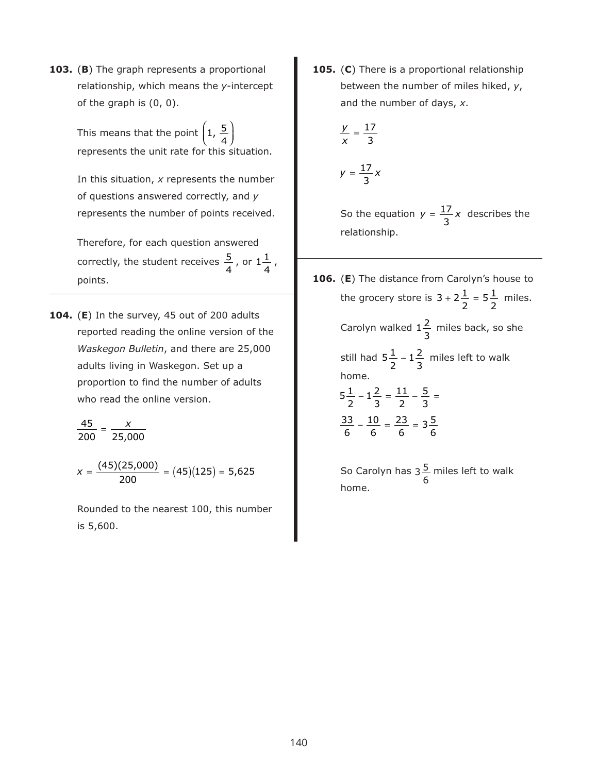**103.** (**B**) The graph represents a proportional relationship, which means the *y*-intercept of the graph is (0, 0).

> This means that the point  $\big($ represents the unit rate for this situation.  $\overline{\mathcal{N}}$ ⎞  $\left(\frac{5}{4}\right)$

In this situation, *x* represents the number of questions answered correctly, and *y* represents the number of points received.

Therefore, for each question answered correctly, the student receives  $\frac{5}{4}$  , or  $1\frac{1}{4}$  , points. 4  $1\frac{1}{2}$ 4

**104.** (**E**) In the survey, 45 out of 200 adults reported reading the online version of the *Waskegon Bulletin*, and there are 25,000 adults living in Waskegon. Set up a proportion to find the number of adults who read the online version.

$$
\frac{45}{200} = \frac{x}{25,000}
$$

 $x = \frac{(45)(25,000)}{200} = (45)(125) = 5,625$ 

Rounded to the nearest 100, this number is 5,600.

**105.** (**C**) There is a proportional relationship between the number of miles hiked, *y*, and the number of days, *x*.

$$
\frac{y}{x} = \frac{17}{3}
$$

$$
y=\frac{17}{3}x
$$

So the equation  $y = \frac{17}{6}x$  describes the relationship. 3

**106.** (**E**) The distance from Carolyn's house to the grocery store is  $3 + 2\frac{1}{2} = 5\frac{1}{2}$  miles. Carolyn walked  $1\frac{2}{3}$  miles back, so she still had  $5\frac{1}{2}$  –  $1\frac{2}{3}$  miles left to walk home. 2  $5\frac{1}{5}$ 2 3 2  $1\frac{2}{5}$ 3  $5\frac{1}{2}-1\frac{2}{3}=\frac{11}{2}-\frac{5}{3}=$  $\frac{33}{2} - \frac{10}{4} = \frac{23}{4} =$ 2  $1 \frac{2}{3}$ 3 11 2 5 3 6 10 6 23 6  $3\frac{5}{7}$ 6

> So Carolyn has  $3\frac{5}{4}$  miles left to walk home. 6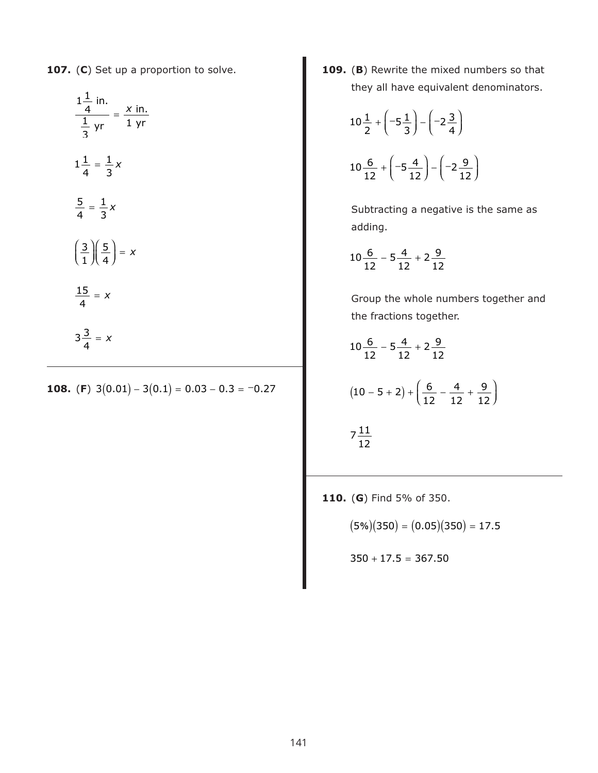**107.** (**C**) Set up a proportion to solve.

$$
\frac{1\frac{1}{4} \text{ in.}}{\frac{1}{3} \text{ yr}} = \frac{x \text{ in.}}{1 \text{ yr}}
$$

$$
1\frac{1}{4} = \frac{1}{3}x
$$

$$
\frac{5}{4} = \frac{1}{3}x
$$

$$
\left(\frac{3}{1}\right)\left(\frac{5}{4}\right) = x
$$

$$
\frac{15}{4} = x
$$

$$
3\frac{3}{4} = x
$$

**108.** (**F**)  $3(0.01) - 3(0.1) = 0.03 - 0.3 = -0.27$ 

**109.** (**B**) Rewrite the mixed numbers so that they all have equivalent denominators.

$$
10\frac{1}{2} + \left(-5\frac{1}{3}\right) - \left(-2\frac{3}{4}\right)
$$
  

$$
10\frac{6}{12} + \left(-5\frac{4}{12}\right) - \left(-2\frac{9}{12}\right)
$$

Subtracting a negative is the same as adding.

$$
10\frac{6}{12} - 5\frac{4}{12} + 2\frac{9}{12}
$$

Group the whole numbers together and the fractions together.

$$
10\frac{6}{12} - 5\frac{4}{12} + 2\frac{9}{12}
$$
  

$$
(10 - 5 + 2) + \left(\frac{6}{12} - \frac{4}{12} + \frac{9}{12}\right)
$$
  

$$
7\frac{11}{12}
$$

**110.** (**G**) Find 5% of 350.

 $(5\%)$  $(350) = (0.05)$  $(350) = 17.5$ 

$$
350 + 17.5 = 367.50
$$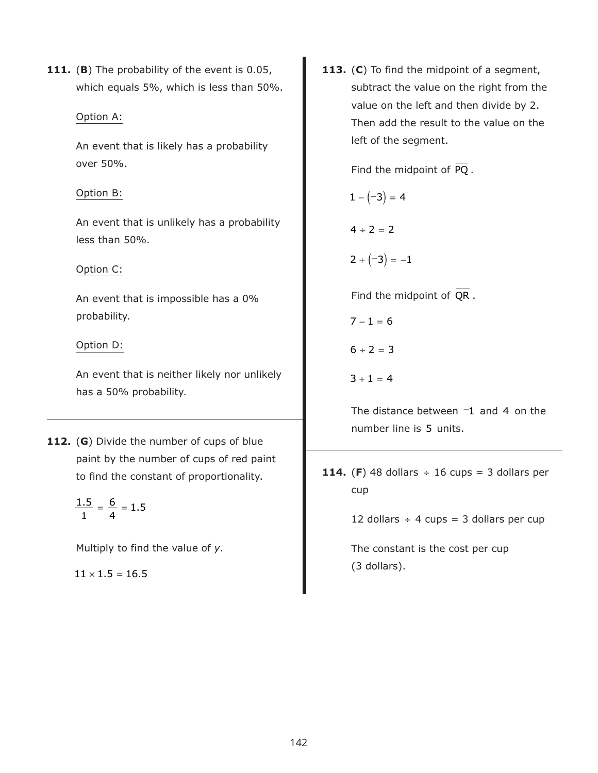**111.** (**B**) The probability of the event is 0.05, which equals 5%, which is less than 50%.

## Option A:

An event that is likely has a probability over 50%.

## Option B:

An event that is unlikely has a probability less than 50%.

## Option C:

An event that is impossible has a 0% probability.

## Option D:

An event that is neither likely nor unlikely has a 50% probability.

**112.** (**G**) Divide the number of cups of blue paint by the number of cups of red paint to find the constant of proportionality.

> $\frac{1.5}{1.5} = \frac{6}{1.5}$ 1 6 4 1.5

Multiply to find the value of *y*.

 $11 \times 1.5 = 16.5$ 

**113.** (**C**) To find the midpoint of a segment, subtract the value on the right from the value on the left and then divide by 2. Then add the result to the value on the left of the segment.

Find the midpoint of PQ.

 $1 - (-3) = 4$ 

 $4 \div 2 = 2$ 

 $2 + (-3) = -1$ 

Find the midpoint of QR.

 $7 - 1 = 6$  $6 \div 2 = 3$  $3 + 1 = 4$ 

The distance between  $-1$  and 4 on the number line is 5 units.

**114.** (F) 48 dollars  $\div$  16 cups = 3 dollars per cup

12 dollars  $\div$  4 cups = 3 dollars per cup

The constant is the cost per cup (3 dollars).